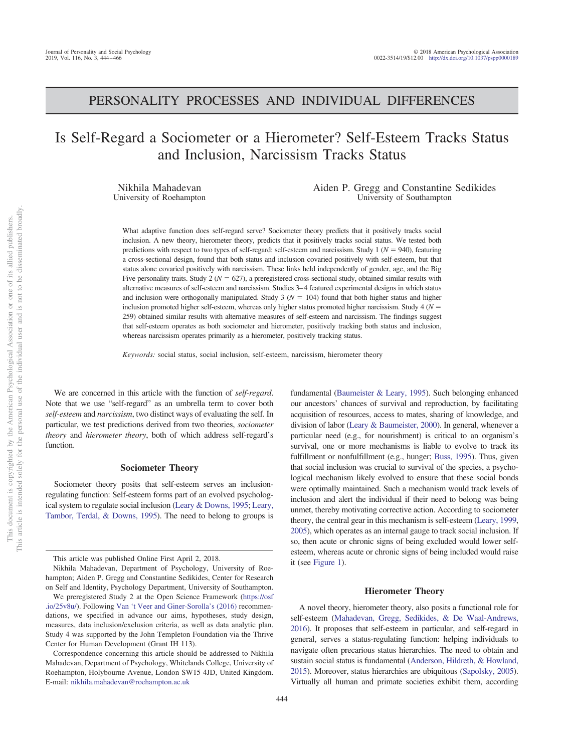# PERSONALITY PROCESSES AND INDIVIDUAL DIFFERENCES

# Is Self-Regard a Sociometer or a Hierometer? Self-Esteem Tracks Status and Inclusion, Narcissism Tracks Status

Nikhila Mahadevan University of Roehampton Aiden P. Gregg and Constantine Sedikides University of Southampton

What adaptive function does self-regard serve? Sociometer theory predicts that it positively tracks social inclusion. A new theory, hierometer theory, predicts that it positively tracks social status. We tested both predictions with respect to two types of self-regard: self-esteem and narcissism. Study  $1 (N = 940)$ , featuring a cross-sectional design, found that both status and inclusion covaried positively with self-esteem, but that status alone covaried positively with narcissism. These links held independently of gender, age, and the Big Five personality traits. Study  $2 (N = 627)$ , a preregistered cross-sectional study, obtained similar results with alternative measures of self-esteem and narcissism. Studies 3–4 featured experimental designs in which status and inclusion were orthogonally manipulated. Study  $3 (N = 104)$  found that both higher status and higher inclusion promoted higher self-esteem, whereas only higher status promoted higher narcissism. Study 4 (N = 259) obtained similar results with alternative measures of self-esteem and narcissism. The findings suggest that self-esteem operates as both sociometer and hierometer, positively tracking both status and inclusion, whereas narcissism operates primarily as a hierometer, positively tracking status.

*Keywords:* social status, social inclusion, self-esteem, narcissism, hierometer theory

We are concerned in this article with the function of *self-regard*. Note that we use "self-regard" as an umbrella term to cover both *self-esteem* and *narcissism*, two distinct ways of evaluating the self. In particular, we test predictions derived from two theories, *sociometer theory* and *hierometer theory*, both of which address self-regard's function.

# **Sociometer Theory**

Sociometer theory posits that self-esteem serves an inclusionregulating function: Self-esteem forms part of an evolved psychological system to regulate social inclusion (Leary & Downs, 1995; Leary, Tambor, Terdal, & Downs, 1995). The need to belong to groups is

Nikhila Mahadevan, Department of Psychology, University of Roehampton; Aiden P. Gregg and Constantine Sedikides, Center for Research on Self and Identity, Psychology Department, University of Southampton.

fundamental (Baumeister & Leary, 1995). Such belonging enhanced our ancestors' chances of survival and reproduction, by facilitating acquisition of resources, access to mates, sharing of knowledge, and division of labor (Leary & Baumeister, 2000). In general, whenever a particular need (e.g., for nourishment) is critical to an organism's survival, one or more mechanisms is liable to evolve to track its fulfillment or nonfulfillment (e.g., hunger; Buss, 1995). Thus, given that social inclusion was crucial to survival of the species, a psychological mechanism likely evolved to ensure that these social bonds were optimally maintained. Such a mechanism would track levels of inclusion and alert the individual if their need to belong was being unmet, thereby motivating corrective action. According to sociometer theory, the central gear in this mechanism is self-esteem (Leary, 1999, 2005), which operates as an internal gauge to track social inclusion. If so, then acute or chronic signs of being excluded would lower selfesteem, whereas acute or chronic signs of being included would raise it (see Figure 1).

#### **Hierometer Theory**

A novel theory, hierometer theory, also posits a functional role for self-esteem (Mahadevan, Gregg, Sedikides, & De Waal-Andrews, 2016). It proposes that self-esteem in particular, and self-regard in general, serves a status-regulating function: helping individuals to navigate often precarious status hierarchies. The need to obtain and sustain social status is fundamental (Anderson, Hildreth, & Howland, 2015). Moreover, status hierarchies are ubiquitous (Sapolsky, 2005). Virtually all human and primate societies exhibit them, according

This article was published Online First April 2, 2018.

We preregistered Study 2 at the Open Science Framework (https://osf .io/25v8u/). Following Van 't Veer and Giner-Sorolla's (2016) recommendations, we specified in advance our aims, hypotheses, study design, measures, data inclusion/exclusion criteria, as well as data analytic plan. Study 4 was supported by the John Templeton Foundation via the Thrive Center for Human Development (Grant IH 113).

Correspondence concerning this article should be addressed to Nikhila Mahadevan, Department of Psychology, Whitelands College, University of Roehampton, Holybourne Avenue, London SW15 4JD, United Kingdom. E-mail: nikhila.mahadevan@roehampton.ac.uk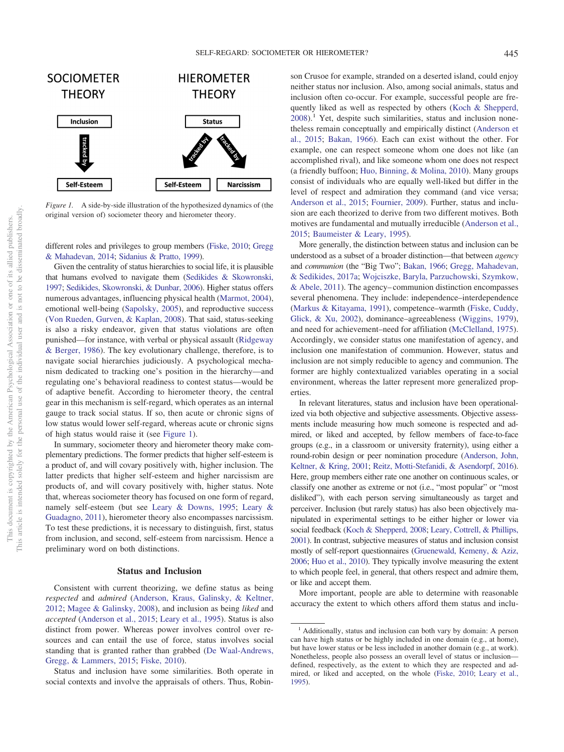

*Figure 1.* A side-by-side illustration of the hypothesized dynamics of (the original version of) sociometer theory and hierometer theory.

different roles and privileges to group members (Fiske, 2010; Gregg & Mahadevan, 2014; Sidanius & Pratto, 1999).

Given the centrality of status hierarchies to social life, it is plausible that humans evolved to navigate them (Sedikides & Skowronski, 1997; Sedikides, Skowronski, & Dunbar, 2006). Higher status offers numerous advantages, influencing physical health (Marmot, 2004), emotional well-being (Sapolsky, 2005), and reproductive success (Von Rueden, Gurven, & Kaplan, 2008). That said, status-seeking is also a risky endeavor, given that status violations are often punished—for instance, with verbal or physical assault (Ridgeway & Berger, 1986). The key evolutionary challenge, therefore, is to navigate social hierarchies judiciously. A psychological mechanism dedicated to tracking one's position in the hierarchy—and regulating one's behavioral readiness to contest status—would be of adaptive benefit. According to hierometer theory, the central gear in this mechanism is self-regard, which operates as an internal gauge to track social status. If so, then acute or chronic signs of low status would lower self-regard, whereas acute or chronic signs of high status would raise it (see Figure 1).

In summary, sociometer theory and hierometer theory make complementary predictions. The former predicts that higher self-esteem is a product of, and will covary positively with, higher inclusion. The latter predicts that higher self-esteem and higher narcissism are products of, and will covary positively with, higher status. Note that, whereas sociometer theory has focused on one form of regard, namely self-esteem (but see Leary & Downs, 1995; Leary & Guadagno, 2011), hierometer theory also encompasses narcissism. To test these predictions, it is necessary to distinguish, first, status from inclusion, and second, self-esteem from narcissism. Hence a preliminary word on both distinctions.

### **Status and Inclusion**

Consistent with current theorizing, we define status as being *respected* and *admired* (Anderson, Kraus, Galinsky, & Keltner, 2012; Magee & Galinsky, 2008), and inclusion as being *liked* and *accepted* (Anderson et al., 2015; Leary et al., 1995). Status is also distinct from power. Whereas power involves control over resources and can entail the use of force, status involves social standing that is granted rather than grabbed (De Waal-Andrews, Gregg, & Lammers, 2015; Fiske, 2010).

Status and inclusion have some similarities. Both operate in social contexts and involve the appraisals of others. Thus, Robinson Crusoe for example, stranded on a deserted island, could enjoy neither status nor inclusion. Also, among social animals, status and inclusion often co-occur. For example, successful people are frequently liked as well as respected by others (Koch & Shepperd,  $2008$ <sup>1</sup>. Yet, despite such similarities, status and inclusion nonetheless remain conceptually and empirically distinct (Anderson et al., 2015; Bakan, 1966). Each can exist without the other. For example, one can respect someone whom one does not like (an accomplished rival), and like someone whom one does not respect (a friendly buffoon; Huo, Binning, & Molina, 2010). Many groups consist of individuals who are equally well-liked but differ in the level of respect and admiration they command (and vice versa; Anderson et al., 2015; Fournier, 2009). Further, status and inclusion are each theorized to derive from two different motives. Both motives are fundamental and mutually irreducible (Anderson et al., 2015; Baumeister & Leary, 1995).

More generally, the distinction between status and inclusion can be understood as a subset of a broader distinction—that between *agency* and *communion* (the "Big Two"; Bakan, 1966; Gregg, Mahadevan, & Sedikides, 2017a; Wojciszke, Baryla, Parzuchowski, Szymkow, & Abele, 2011). The agency–communion distinction encompasses several phenomena. They include: independence–interdependence (Markus & Kitayama, 1991), competence–warmth (Fiske, Cuddy, Glick, & Xu, 2002), dominance–agreeableness (Wiggins, 1979), and need for achievement–need for affiliation (McClelland, 1975). Accordingly, we consider status one manifestation of agency, and inclusion one manifestation of communion. However, status and inclusion are not simply reducible to agency and communion. The former are highly contextualized variables operating in a social environment, whereas the latter represent more generalized properties.

In relevant literatures, status and inclusion have been operationalized via both objective and subjective assessments. Objective assessments include measuring how much someone is respected and admired, or liked and accepted, by fellow members of face-to-face groups (e.g., in a classroom or university fraternity), using either a round-robin design or peer nomination procedure (Anderson, John, Keltner, & Kring, 2001; Reitz, Motti-Stefanidi, & Asendorpf, 2016). Here, group members either rate one another on continuous scales, or classify one another as extreme or not (i.e., "most popular" or "most disliked"), with each person serving simultaneously as target and perceiver. Inclusion (but rarely status) has also been objectively manipulated in experimental settings to be either higher or lower via social feedback (Koch & Shepperd, 2008; Leary, Cottrell, & Phillips, 2001). In contrast, subjective measures of status and inclusion consist mostly of self-report questionnaires (Gruenewald, Kemeny, & Aziz, 2006; Huo et al., 2010). They typically involve measuring the extent to which people feel, in general, that others respect and admire them, or like and accept them.

More important, people are able to determine with reasonable accuracy the extent to which others afford them status and inclu-

<sup>&</sup>lt;sup>1</sup> Additionally, status and inclusion can both vary by domain: A person can have high status or be highly included in one domain (e.g., at home), but have lower status or be less included in another domain (e.g., at work). Nonetheless, people also possess an overall level of status or inclusion defined, respectively, as the extent to which they are respected and admired, or liked and accepted, on the whole (Fiske, 2010; Leary et al., 1995).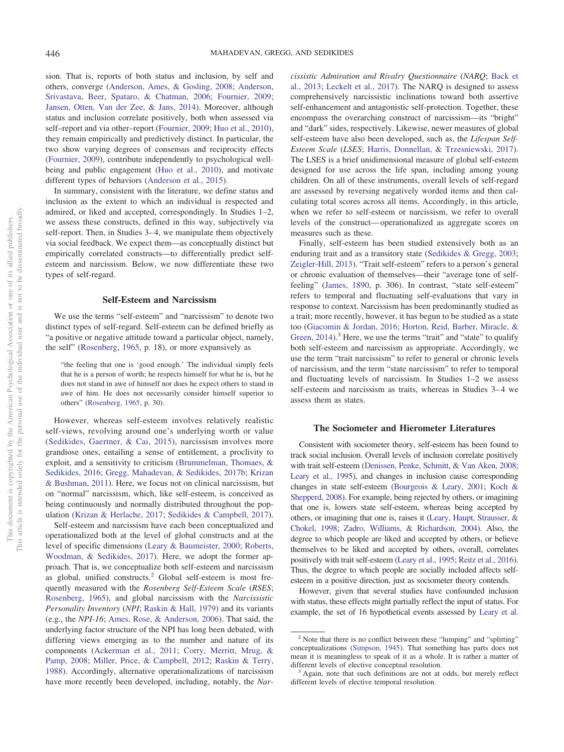sion. That is, reports of both status and inclusion, by self and others, converge (Anderson, Ames, & Gosling, 2008; Anderson, Srivastava, Beer, Spataro, & Chatman, 2006; Fournier, 2009; Jansen, Otten, Van der Zee, & Jans, 2014). Moreover, although status and inclusion correlate positively, both when assessed via self–report and via other–report (Fournier, 2009; Huo et al., 2010), they remain empirically and predictively distinct. In particular, the two show varying degrees of consensus and reciprocity effects (Fournier, 2009), contribute independently to psychological wellbeing and public engagement (Huo et al., 2010), and motivate different types of behaviors (Anderson et al., 2015).

In summary, consistent with the literature, we define status and inclusion as the extent to which an individual is respected and admired, or liked and accepted, correspondingly. In Studies 1–2, we assess these constructs, defined in this way, subjectively via self-report. Then, in Studies 3–4, we manipulate them objectively via social feedback. We expect them—as conceptually distinct but empirically correlated constructs—to differentially predict selfesteem and narcissism. Below, we now differentiate these two types of self-regard.

#### **Self-Esteem and Narcissism**

We use the terms "self-esteem" and "narcissism" to denote two distinct types of self-regard. Self-esteem can be defined briefly as "a positive or negative attitude toward a particular object, namely, the self" (Rosenberg, 1965, p. 18), or more expansively as

"the feeling that one is 'good enough.' The individual simply feels that he is a person of worth; he respects himself for what he is, but he does not stand in awe of himself nor does he expect others to stand in awe of him. He does not necessarily consider himself superior to others" (Rosenberg, 1965, p. 30).

However, whereas self-esteem involves relatively realistic self-views, revolving around one's underlying worth or value (Sedikides, Gaertner, & Cai, 2015), narcissism involves more grandiose ones, entailing a sense of entitlement, a proclivity to exploit, and a sensitivity to criticism (Brummelman, Thomaes, & Sedikides, 2016; Gregg, Mahadevan, & Sedikides, 2017b; Krizan & Bushman, 2011). Here, we focus not on clinical narcissism, but on "normal" narcissism, which, like self-esteem, is conceived as being continuously and normally distributed throughout the population (Krizan & Herlache, 2017; Sedikides & Campbell, 2017).

Self-esteem and narcissism have each been conceptualized and operationalized both at the level of global constructs and at the level of specific dimensions (Leary & Baumeister, 2000; Roberts, Woodman, & Sedikides, 2017). Here, we adopt the former approach. That is, we conceptualize both self-esteem and narcissism as global, unified constructs.<sup>2</sup> Global self-esteem is most frequently measured with the *Rosenberg Self-Esteem Scale* (*RSES*; Rosenberg, 1965), and global narcissism with the *Narcissistic Personality Inventory* (*NPI*; Raskin & Hall, 1979) and its variants (e.g., the *NPI-16*; Ames, Rose, & Anderson, 2006). That said, the underlying factor structure of the NPI has long been debated, with differing views emerging as to the number and nature of its components (Ackerman et al., 2011; Corry, Merritt, Mrug, & Pamp, 2008; Miller, Price, & Campbell, 2012; Raskin & Terry, 1988). Accordingly, alternative operationalizations of narcissism have more recently been developed, including, notably, the *Nar-* *cissistic Admiration and Rivalry Questionnaire* (*NARQ*; Back et al., 2013; Leckelt et al., 2017). The NARQ is designed to assess comprehensively narcissistic inclinations toward both assertive self-enhancement and antagonistic self-protection. Together, these encompass the overarching construct of narcissism—its "bright" and "dark" sides, respectively. Likewise, newer measures of global self-esteem have also been developed, such as, the *Lifespan Self-Esteem Scale* (*LSES*; Harris, Donnellan, & Trzesniewski, 2017). The LSES is a brief unidimensional measure of global self-esteem designed for use across the life span, including among young children. On all of these instruments, overall levels of self-regard are assessed by reversing negatively worded items and then calculating total scores across all items. Accordingly, in this article, when we refer to self-esteem or narcissism, we refer to overall levels of the construct—operationalized as aggregate scores on measures such as these.

Finally, self-esteem has been studied extensively both as an enduring trait and as a transitory state (Sedikides & Gregg, 2003; Zeigler-Hill, 2013). "Trait self-esteem" refers to a person's general or chronic evaluation of themselves—their "average tone of selffeeling" (James, 1890, p. 306). In contrast, "state self-esteem" refers to temporal and fluctuating self-evaluations that vary in response to context. Narcissism has been predominantly studied as a trait; more recently, however, it has begun to be studied as a state too (Giacomin & Jordan, 2016; Horton, Reid, Barber, Miracle, & Green,  $2014$ ).<sup>3</sup> Here, we use the terms "trait" and "state" to qualify both self-esteem and narcissism as appropriate. Accordingly, we use the term "trait narcissism" to refer to general or chronic levels of narcissism, and the term "state narcissism" to refer to temporal and fluctuating levels of narcissism. In Studies 1–2 we assess self-esteem and narcissism as traits, whereas in Studies 3–4 we assess them as states.

# **The Sociometer and Hierometer Literatures**

Consistent with sociometer theory, self-esteem has been found to track social inclusion. Overall levels of inclusion correlate positively with trait self-esteem (Denissen, Penke, Schmitt, & Van Aken, 2008; Leary et al., 1995), and changes in inclusion cause corresponding changes in state self-esteem (Bourgeois & Leary, 2001; Koch & Shepperd, 2008). For example, being rejected by others, or imagining that one is, lowers state self-esteem, whereas being accepted by others, or imagining that one is, raises it (Leary, Haupt, Strausser, & Chokel, 1998; Zadro, Williams, & Richardson, 2004). Also, the degree to which people are liked and accepted by others, or believe themselves to be liked and accepted by others, overall, correlates positively with trait self-esteem (Leary et al., 1995; Reitz et al., 2016). Thus, the degree to which people are socially included affects selfesteem in a positive direction, just as sociometer theory contends.

However, given that several studies have confounded inclusion with status, these effects might partially reflect the input of status. For example, the set of 16 hypothetical events assessed by Leary et al.

<sup>&</sup>lt;sup>2</sup> Note that there is no conflict between these "lumping" and "splitting" conceptualizations (Simpson, 1945). That something has parts does not mean it is meaningless to speak of it as a whole. It is rather a matter of different levels of elective conceptual resolution.

<sup>&</sup>lt;sup>3</sup> Again, note that such definitions are not at odds, but merely reflect different levels of elective temporal resolution.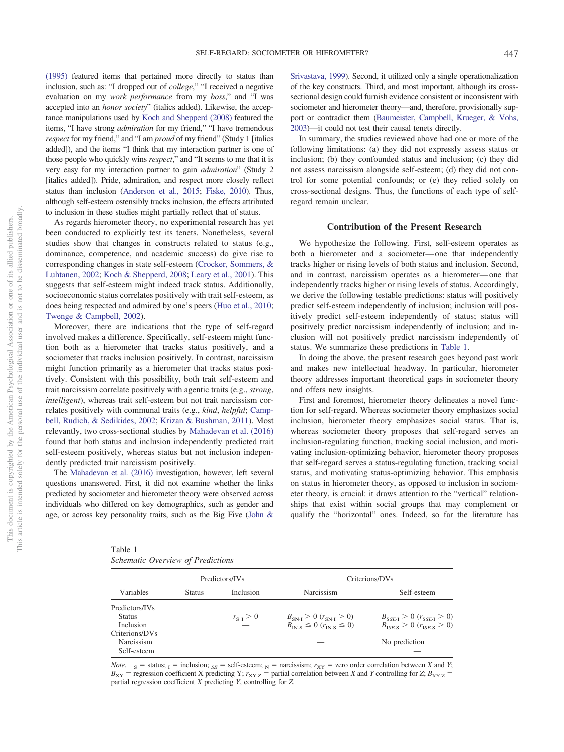(1995) featured items that pertained more directly to status than inclusion, such as: "I dropped out of *college*," "I received a negative evaluation on my *work performance* from my *boss*," and "I was accepted into an *honor society*" (italics added). Likewise, the acceptance manipulations used by Koch and Shepperd (2008) featured the items, "I have strong *admiration* for my friend," "I have tremendous *respect* for my friend," and "I am *proud* of my friend" (Study 1 [italics added]), and the items "I think that my interaction partner is one of those people who quickly wins *respect*," and "It seems to me that it is very easy for my interaction partner to gain *admiration*" (Study 2 [italics added]). Pride, admiration, and respect more closely reflect status than inclusion (Anderson et al., 2015; Fiske, 2010). Thus, although self-esteem ostensibly tracks inclusion, the effects attributed to inclusion in these studies might partially reflect that of status.

As regards hierometer theory, no experimental research has yet been conducted to explicitly test its tenets. Nonetheless, several studies show that changes in constructs related to status (e.g., dominance, competence, and academic success) do give rise to corresponding changes in state self-esteem (Crocker, Sommers, & Luhtanen, 2002; Koch & Shepperd, 2008; Leary et al., 2001). This suggests that self-esteem might indeed track status. Additionally, socioeconomic status correlates positively with trait self-esteem, as does being respected and admired by one's peers (Huo et al., 2010; Twenge & Campbell, 2002).

Moreover, there are indications that the type of self-regard involved makes a difference. Specifically, self-esteem might function both as a hierometer that tracks status positively, and a sociometer that tracks inclusion positively. In contrast, narcissism might function primarily as a hierometer that tracks status positively. Consistent with this possibility, both trait self-esteem and trait narcissism correlate positively with agentic traits (e.g., *strong*, *intelligent*), whereas trait self-esteem but not trait narcissism correlates positively with communal traits (e.g., *kind*, *helpful*; Campbell, Rudich, & Sedikides, 2002; Krizan & Bushman, 2011). Most relevantly, two cross-sectional studies by Mahadevan et al. (2016) found that both status and inclusion independently predicted trait self-esteem positively, whereas status but not inclusion independently predicted trait narcissism positively.

The Mahadevan et al. (2016) investigation, however, left several questions unanswered. First, it did not examine whether the links predicted by sociometer and hierometer theory were observed across individuals who differed on key demographics, such as gender and age, or across key personality traits, such as the Big Five (John &

Srivastava, 1999). Second, it utilized only a single operationalization of the key constructs. Third, and most important, although its crosssectional design could furnish evidence consistent or inconsistent with sociometer and hierometer theory—and, therefore, provisionally support or contradict them (Baumeister, Campbell, Krueger, & Vohs, 2003)—it could not test their causal tenets directly.

In summary, the studies reviewed above had one or more of the following limitations: (a) they did not expressly assess status or inclusion; (b) they confounded status and inclusion; (c) they did not assess narcissism alongside self-esteem; (d) they did not control for some potential confounds; or (e) they relied solely on cross-sectional designs. Thus, the functions of each type of selfregard remain unclear.

# **Contribution of the Present Research**

We hypothesize the following. First, self-esteem operates as both a hierometer and a sociometer—one that independently tracks higher or rising levels of both status and inclusion. Second, and in contrast, narcissism operates as a hierometer—one that independently tracks higher or rising levels of status. Accordingly, we derive the following testable predictions: status will positively predict self-esteem independently of inclusion; inclusion will positively predict self-esteem independently of status; status will positively predict narcissism independently of inclusion; and inclusion will not positively predict narcissism independently of status. We summarize these predictions in Table 1.

In doing the above, the present research goes beyond past work and makes new intellectual headway. In particular, hierometer theory addresses important theoretical gaps in sociometer theory and offers new insights.

First and foremost, hierometer theory delineates a novel function for self-regard. Whereas sociometer theory emphasizes social inclusion, hierometer theory emphasizes social status. That is, whereas sociometer theory proposes that self-regard serves an inclusion-regulating function, tracking social inclusion, and motivating inclusion-optimizing behavior, hierometer theory proposes that self-regard serves a status-regulating function, tracking social status, and motivating status-optimizing behavior. This emphasis on status in hierometer theory, as opposed to inclusion in sociometer theory, is crucial: it draws attention to the "vertical" relationships that exist within social groups that may complement or qualify the "horizontal" ones. Indeed, so far the literature has

Table 1 *Schematic Overview of Predictions*

|                  |               | Predictors/IVs | Criterions/DVs                                        |                                     |  |  |
|------------------|---------------|----------------|-------------------------------------------------------|-------------------------------------|--|--|
| Variables        | <b>Status</b> | Inclusion      | <b>Narcissism</b>                                     | Self-esteem                         |  |  |
| Predictors/IVs   |               |                |                                                       |                                     |  |  |
| <b>Status</b>    |               | $r_{S,I} > 0$  | $B_{SN,I} > 0$ $(r_{SN,I} > 0)$                       | $B_{SSE,I} > 0$ ( $r_{SSE,I} > 0$ ) |  |  |
| <b>Inclusion</b> |               |                | $B_{\text{IN-S}} \leq 0$ ( $r_{\text{IN-S}} \leq 0$ ) | $B_{ISES} > 0$ ( $r_{ISES} > 0$ )   |  |  |
| Criterions/DVs   |               |                |                                                       |                                     |  |  |
| Narcissism       |               |                |                                                       | No prediction                       |  |  |
| Self-esteem      |               |                |                                                       |                                     |  |  |

*Note*.  $S =$  status;  $I =$  inclusion;  $S =$  self-esteem;  $N =$  narcissism;  $r_{XY} =$  zero order correlation between *X* and *Y*;  $B_{XY}$  = regression coefficient *X* predicting *Y*;  $r_{XYZ}$  = partial correlation between *X* and *Y* controlling for *Z*;  $B_{XYZ}$  = partial regression coefficient *X* predicting *Y*, controlling for *Z*.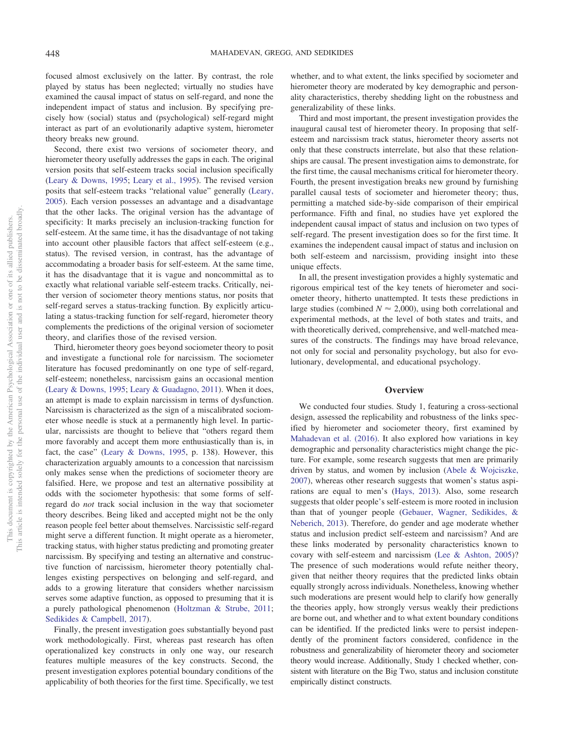focused almost exclusively on the latter. By contrast, the role played by status has been neglected; virtually no studies have examined the causal impact of status on self-regard, and none the independent impact of status and inclusion. By specifying precisely how (social) status and (psychological) self-regard might interact as part of an evolutionarily adaptive system, hierometer theory breaks new ground.

Second, there exist two versions of sociometer theory, and hierometer theory usefully addresses the gaps in each. The original version posits that self-esteem tracks social inclusion specifically (Leary & Downs, 1995; Leary et al., 1995). The revised version posits that self-esteem tracks "relational value" generally (Leary, 2005). Each version possesses an advantage and a disadvantage that the other lacks. The original version has the advantage of specificity: It marks precisely an inclusion-tracking function for self-esteem. At the same time, it has the disadvantage of not taking into account other plausible factors that affect self-esteem (e.g., status). The revised version, in contrast, has the advantage of accommodating a broader basis for self-esteem. At the same time, it has the disadvantage that it is vague and noncommittal as to exactly what relational variable self-esteem tracks. Critically, neither version of sociometer theory mentions status, nor posits that self-regard serves a status-tracking function. By explicitly articulating a status-tracking function for self-regard, hierometer theory complements the predictions of the original version of sociometer theory, and clarifies those of the revised version.

Third, hierometer theory goes beyond sociometer theory to posit and investigate a functional role for narcissism. The sociometer literature has focused predominantly on one type of self-regard, self-esteem; nonetheless, narcissism gains an occasional mention (Leary & Downs, 1995; Leary & Guadagno, 2011). When it does, an attempt is made to explain narcissism in terms of dysfunction. Narcissism is characterized as the sign of a miscalibrated sociometer whose needle is stuck at a permanently high level. In particular, narcissists are thought to believe that "others regard them more favorably and accept them more enthusiastically than is, in fact, the case" (Leary & Downs, 1995, p. 138). However, this characterization arguably amounts to a concession that narcissism only makes sense when the predictions of sociometer theory are falsified. Here, we propose and test an alternative possibility at odds with the sociometer hypothesis: that some forms of selfregard do *not* track social inclusion in the way that sociometer theory describes. Being liked and accepted might not be the only reason people feel better about themselves. Narcissistic self-regard might serve a different function. It might operate as a hierometer, tracking status, with higher status predicting and promoting greater narcissism. By specifying and testing an alternative and constructive function of narcissism, hierometer theory potentially challenges existing perspectives on belonging and self-regard, and adds to a growing literature that considers whether narcissism serves some adaptive function, as opposed to presuming that it is a purely pathological phenomenon (Holtzman & Strube, 2011; Sedikides & Campbell, 2017).

Finally, the present investigation goes substantially beyond past work methodologically. First, whereas past research has often operationalized key constructs in only one way, our research features multiple measures of the key constructs. Second, the present investigation explores potential boundary conditions of the applicability of both theories for the first time. Specifically, we test

whether, and to what extent, the links specified by sociometer and hierometer theory are moderated by key demographic and personality characteristics, thereby shedding light on the robustness and generalizability of these links.

Third and most important, the present investigation provides the inaugural causal test of hierometer theory. In proposing that selfesteem and narcissism track status, hierometer theory asserts not only that these constructs interrelate, but also that these relationships are causal. The present investigation aims to demonstrate, for the first time, the causal mechanisms critical for hierometer theory. Fourth, the present investigation breaks new ground by furnishing parallel causal tests of sociometer and hierometer theory; thus, permitting a matched side-by-side comparison of their empirical performance. Fifth and final, no studies have yet explored the independent causal impact of status and inclusion on two types of self-regard. The present investigation does so for the first time. It examines the independent causal impact of status and inclusion on both self-esteem and narcissism, providing insight into these unique effects.

In all, the present investigation provides a highly systematic and rigorous empirical test of the key tenets of hierometer and sociometer theory, hitherto unattempted. It tests these predictions in large studies (combined  $N \approx 2,000$ ), using both correlational and experimental methods, at the level of both states and traits, and with theoretically derived, comprehensive, and well-matched measures of the constructs. The findings may have broad relevance, not only for social and personality psychology, but also for evolutionary, developmental, and educational psychology.

#### **Overview**

We conducted four studies. Study 1, featuring a cross-sectional design, assessed the replicability and robustness of the links specified by hierometer and sociometer theory, first examined by Mahadevan et al. (2016). It also explored how variations in key demographic and personality characteristics might change the picture. For example, some research suggests that men are primarily driven by status, and women by inclusion (Abele & Wojciszke, 2007), whereas other research suggests that women's status aspirations are equal to men's (Hays, 2013). Also, some research suggests that older people's self-esteem is more rooted in inclusion than that of younger people (Gebauer, Wagner, Sedikides, & Neberich, 2013). Therefore, do gender and age moderate whether status and inclusion predict self-esteem and narcissism? And are these links moderated by personality characteristics known to covary with self-esteem and narcissism (Lee & Ashton, 2005)? The presence of such moderations would refute neither theory, given that neither theory requires that the predicted links obtain equally strongly across individuals. Nonetheless, knowing whether such moderations are present would help to clarify how generally the theories apply, how strongly versus weakly their predictions are borne out, and whether and to what extent boundary conditions can be identified. If the predicted links were to persist independently of the prominent factors considered, confidence in the robustness and generalizability of hierometer theory and sociometer theory would increase. Additionally, Study 1 checked whether, consistent with literature on the Big Two, status and inclusion constitute empirically distinct constructs.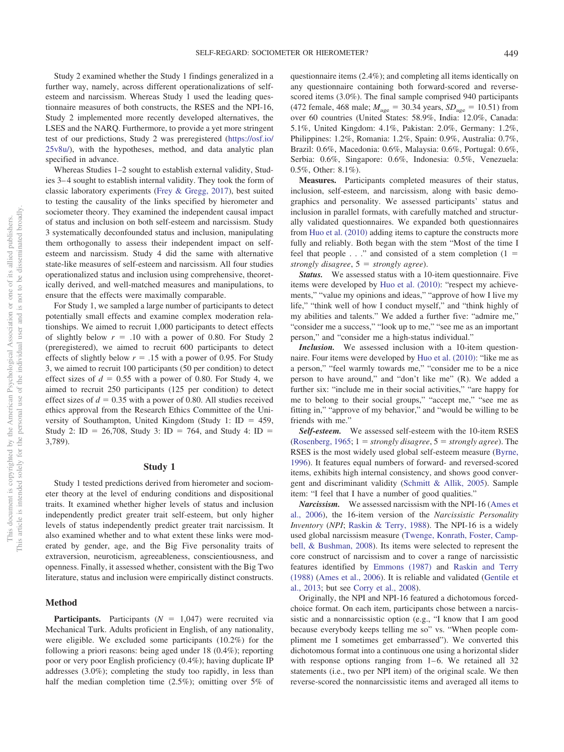Study 2 examined whether the Study 1 findings generalized in a further way, namely, across different operationalizations of selfesteem and narcissism. Whereas Study 1 used the leading questionnaire measures of both constructs, the RSES and the NPI-16, Study 2 implemented more recently developed alternatives, the LSES and the NARQ. Furthermore, to provide a yet more stringent test of our predictions, Study 2 was preregistered (https://osf.io/ 25v8u/), with the hypotheses, method, and data analytic plan specified in advance.

Whereas Studies 1–2 sought to establish external validity, Studies 3–4 sought to establish internal validity. They took the form of classic laboratory experiments (Frey & Gregg, 2017), best suited to testing the causality of the links specified by hierometer and sociometer theory. They examined the independent causal impact of status and inclusion on both self-esteem and narcissism. Study 3 systematically deconfounded status and inclusion, manipulating them orthogonally to assess their independent impact on selfesteem and narcissism. Study 4 did the same with alternative state-like measures of self-esteem and narcissism. All four studies operationalized status and inclusion using comprehensive, theoretically derived, and well-matched measures and manipulations, to ensure that the effects were maximally comparable.

For Study 1, we sampled a large number of participants to detect potentially small effects and examine complex moderation relationships. We aimed to recruit 1,000 participants to detect effects of slightly below  $r = .10$  with a power of 0.80. For Study 2 (preregistered), we aimed to recruit 600 participants to detect effects of slightly below  $r = .15$  with a power of 0.95. For Study 3, we aimed to recruit 100 participants (50 per condition) to detect effect sizes of  $d = 0.55$  with a power of 0.80. For Study 4, we aimed to recruit 250 participants (125 per condition) to detect effect sizes of  $d = 0.35$  with a power of 0.80. All studies received ethics approval from the Research Ethics Committee of the University of Southampton, United Kingdom (Study 1:  $ID = 459$ , Study 2: ID = 26,708, Study 3: ID = 764, and Study 4: ID = 3,789).

### **Study 1**

Study 1 tested predictions derived from hierometer and sociometer theory at the level of enduring conditions and dispositional traits. It examined whether higher levels of status and inclusion independently predict greater trait self-esteem, but only higher levels of status independently predict greater trait narcissism. It also examined whether and to what extent these links were moderated by gender, age, and the Big Five personality traits of extraversion, neuroticism, agreeableness, conscientiousness, and openness. Finally, it assessed whether, consistent with the Big Two literature, status and inclusion were empirically distinct constructs.

#### **Method**

**Participants.** Participants  $(N = 1,047)$  were recruited via Mechanical Turk. Adults proficient in English, of any nationality, were eligible. We excluded some participants (10.2%) for the following a priori reasons: being aged under 18 (0.4%); reporting poor or very poor English proficiency (0.4%); having duplicate IP addresses (3.0%); completing the study too rapidly, in less than half the median completion time (2.5%); omitting over 5% of questionnaire items (2.4%); and completing all items identically on any questionnaire containing both forward-scored and reversescored items (3.0%). The final sample comprised 940 participants  $(472 \text{ female}, 468 \text{ male}; M_{\text{age}} = 30.34 \text{ years}, SD_{\text{age}} = 10.51) \text{ from}$ over 60 countries (United States: 58.9%, India: 12.0%, Canada: 5.1%, United Kingdom: 4.1%, Pakistan: 2.0%, Germany: 1.2%, Philippines: 1.2%, Romania: 1.2%, Spain: 0.9%, Australia: 0.7%, Brazil: 0.6%, Macedonia: 0.6%, Malaysia: 0.6%, Portugal: 0.6%, Serbia: 0.6%, Singapore: 0.6%, Indonesia: 0.5%, Venezuela: 0.5%, Other: 8.1%).

**Measures.** Participants completed measures of their status, inclusion, self-esteem, and narcissism, along with basic demographics and personality. We assessed participants' status and inclusion in parallel formats, with carefully matched and structurally validated questionnaires. We expanded both questionnaires from Huo et al. (2010) adding items to capture the constructs more fully and reliably. Both began with the stem "Most of the time I feel that people  $\ldots$  " and consisted of a stem completion (1 = *strongly disagree*, 5 - *strongly agree*).

*Status.* We assessed status with a 10-item questionnaire. Five items were developed by Huo et al. (2010): "respect my achievements," "value my opinions and ideas," "approve of how I live my life," "think well of how I conduct myself," and "think highly of my abilities and talents." We added a further five: "admire me," "consider me a success," "look up to me," "see me as an important person," and "consider me a high-status individual."

*Inclusion.* We assessed inclusion with a 10-item questionnaire. Four items were developed by Huo et al. (2010): "like me as a person," "feel warmly towards me," "consider me to be a nice person to have around," and "don't like me" (R). We added a further six: "include me in their social activities," "are happy for me to belong to their social groups," "accept me," "see me as fitting in," "approve of my behavior," and "would be willing to be friends with me."

*Self-esteem.* We assessed self-esteem with the 10-item RSES  $(Rosenberg, 1965; 1 = strongly disagree, 5 = strongly agree).$  The RSES is the most widely used global self-esteem measure (Byrne, 1996). It features equal numbers of forward- and reversed-scored items, exhibits high internal consistency, and shows good convergent and discriminant validity (Schmitt & Allik, 2005). Sample item: "I feel that I have a number of good qualities."

*Narcissism.* We assessed narcissism with the NPI-16 (Ames et al., 2006), the 16-item version of the *Narcissistic Personality Inventory* (*NPI*; Raskin & Terry, 1988). The NPI-16 is a widely used global narcissism measure (Twenge, Konrath, Foster, Campbell, & Bushman, 2008). Its items were selected to represent the core construct of narcissism and to cover a range of narcissistic features identified by Emmons (1987) and Raskin and Terry (1988) (Ames et al., 2006). It is reliable and validated (Gentile et al., 2013; but see Corry et al., 2008).

Originally, the NPI and NPI-16 featured a dichotomous forcedchoice format. On each item, participants chose between a narcissistic and a nonnarcissistic option (e.g., "I know that I am good because everybody keeps telling me so" vs. "When people compliment me I sometimes get embarrassed"). We converted this dichotomous format into a continuous one using a horizontal slider with response options ranging from 1–6. We retained all 32 statements (i.e., two per NPI item) of the original scale. We then reverse-scored the nonnarcissistic items and averaged all items to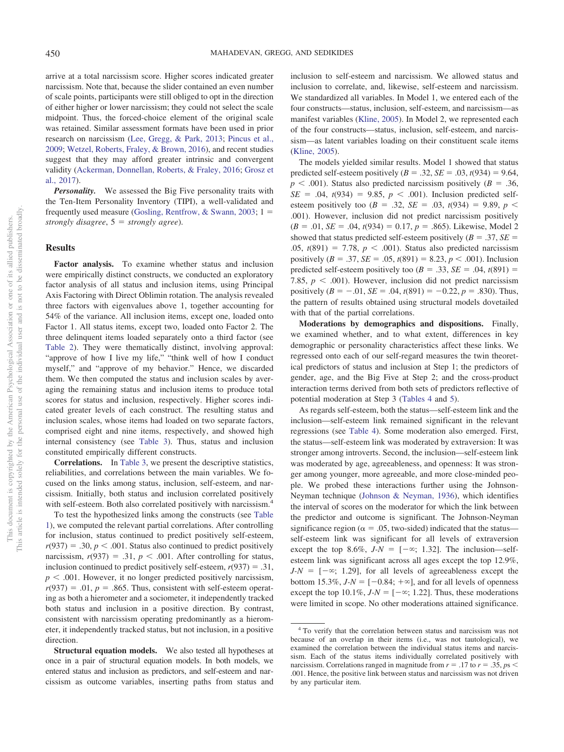arrive at a total narcissism score. Higher scores indicated greater narcissism. Note that, because the slider contained an even number of scale points, participants were still obliged to opt in the direction of either higher or lower narcissism; they could not select the scale midpoint. Thus, the forced-choice element of the original scale was retained. Similar assessment formats have been used in prior research on narcissism (Lee, Gregg, & Park, 2013; Pincus et al., 2009; Wetzel, Roberts, Fraley, & Brown, 2016), and recent studies suggest that they may afford greater intrinsic and convergent validity (Ackerman, Donnellan, Roberts, & Fraley, 2016; Grosz et al., 2017).

*Personality.* We assessed the Big Five personality traits with the Ten-Item Personality Inventory (TIPI), a well-validated and frequently used measure (Gosling, Rentfrow, & Swann, 2003;  $1 =$ *strongly disagree*, 5 - *strongly agree*).

#### **Results**

**Factor analysis.** To examine whether status and inclusion were empirically distinct constructs, we conducted an exploratory factor analysis of all status and inclusion items, using Principal Axis Factoring with Direct Oblimin rotation. The analysis revealed three factors with eigenvalues above 1, together accounting for 54% of the variance. All inclusion items, except one, loaded onto Factor 1. All status items, except two, loaded onto Factor 2. The three delinquent items loaded separately onto a third factor (see Table 2). They were thematically distinct, involving approval: "approve of how I live my life," "think well of how I conduct myself," and "approve of my behavior." Hence, we discarded them. We then computed the status and inclusion scales by averaging the remaining status and inclusion items to produce total scores for status and inclusion, respectively. Higher scores indicated greater levels of each construct. The resulting status and inclusion scales, whose items had loaded on two separate factors, comprised eight and nine items, respectively, and showed high internal consistency (see Table 3). Thus, status and inclusion constituted empirically different constructs.

**Correlations.** In Table 3, we present the descriptive statistics, reliabilities, and correlations between the main variables. We focused on the links among status, inclusion, self-esteem, and narcissism. Initially, both status and inclusion correlated positively with self-esteem. Both also correlated positively with narcissism.<sup>4</sup>

To test the hypothesized links among the constructs (see Table 1), we computed the relevant partial correlations. After controlling for inclusion, status continued to predict positively self-esteem,  $r(937) = .30, p < .001$ . Status also continued to predict positively narcissism,  $r(937) = .31$ ,  $p < .001$ . After controlling for status, inclusion continued to predict positively self-esteem,  $r(937) = .31$ ,  $p < .001$ . However, it no longer predicted positively narcissism,  $r(937) = .01$ ,  $p = .865$ . Thus, consistent with self-esteem operating as both a hierometer and a sociometer, it independently tracked both status and inclusion in a positive direction. By contrast, consistent with narcissism operating predominantly as a hierometer, it independently tracked status, but not inclusion, in a positive direction.

**Structural equation models.** We also tested all hypotheses at once in a pair of structural equation models. In both models, we entered status and inclusion as predictors, and self-esteem and narcissism as outcome variables, inserting paths from status and inclusion to self-esteem and narcissism. We allowed status and inclusion to correlate, and, likewise, self-esteem and narcissism. We standardized all variables. In Model 1, we entered each of the four constructs—status, inclusion, self-esteem, and narcissism—as manifest variables (Kline, 2005). In Model 2, we represented each of the four constructs—status, inclusion, self-esteem, and narcissism—as latent variables loading on their constituent scale items (Kline, 2005).

The models yielded similar results. Model 1 showed that status predicted self-esteem positively  $(B = .32, SE = .03, t(934) = 9.64,$  $p < .001$ ). Status also predicted narcissism positively ( $B = .36$ ,  $SE = .04$ ,  $t(934) = 9.85$ ,  $p < .001$ ). Inclusion predicted selfesteem positively too ( $B = .32$ ,  $SE = .03$ ,  $t(934) = 9.89$ ,  $p <$ .001). However, inclusion did not predict narcissism positively  $(B = .01, SE = .04, t(934) = 0.17, p = .865)$ . Likewise, Model 2 showed that status predicted self-esteem positively ( $B = .37$ ,  $SE =$  $.05, t(891) = 7.78, p < .001$ . Status also predicted narcissism positively (*B* = .37, *SE* = .05,  $t(891) = 8.23, p < .001$ ). Inclusion predicted self-esteem positively too  $(B = .33, SE = .04, t(891) =$ 7.85,  $p < .001$ ). However, inclusion did not predict narcissism positively  $(B = -.01, SE = .04, t(891) = -0.22, p = .830)$ . Thus, the pattern of results obtained using structural models dovetailed with that of the partial correlations.

**Moderations by demographics and dispositions.** Finally, we examined whether, and to what extent, differences in key demographic or personality characteristics affect these links. We regressed onto each of our self-regard measures the twin theoretical predictors of status and inclusion at Step 1; the predictors of gender, age, and the Big Five at Step 2; and the cross-product interaction terms derived from both sets of predictors reflective of potential moderation at Step 3 (Tables 4 and 5).

As regards self-esteem, both the status—self-esteem link and the inclusion—self-esteem link remained significant in the relevant regressions (see Table 4). Some moderation also emerged. First, the status—self-esteem link was moderated by extraversion: It was stronger among introverts. Second, the inclusion—self-esteem link was moderated by age, agreeableness, and openness: It was stronger among younger, more agreeable, and more close-minded people. We probed these interactions further using the Johnson-Neyman technique (Johnson & Neyman, 1936), which identifies the interval of scores on the moderator for which the link between the predictor and outcome is significant. The Johnson-Neyman significance region ( $\alpha = .05$ , two-sided) indicated that the status self-esteem link was significant for all levels of extraversion except the top 8.6%,  $J-N = [-\infty, 1.32]$ . The inclusion—selfesteem link was significant across all ages except the top 12.9%,  $J-N = [-\infty; 1.29]$ , for all levels of agreeableness except the bottom 15.3%,  $J-N = [-0.84; +\infty]$ , and for all levels of openness except the top  $10.1\%, J-N = [-\infty; 1.22]$ . Thus, these moderations were limited in scope. No other moderations attained significance.

<sup>4</sup> To verify that the correlation between status and narcissism was not because of an overlap in their items (i.e., was not tautological), we examined the correlation between the individual status items and narcissism. Each of the status items individually correlated positively with narcissism. Correlations ranged in magnitude from  $r = .17$  to  $r = .35$ ,  $ps <$ .001. Hence, the positive link between status and narcissism was not driven by any particular item.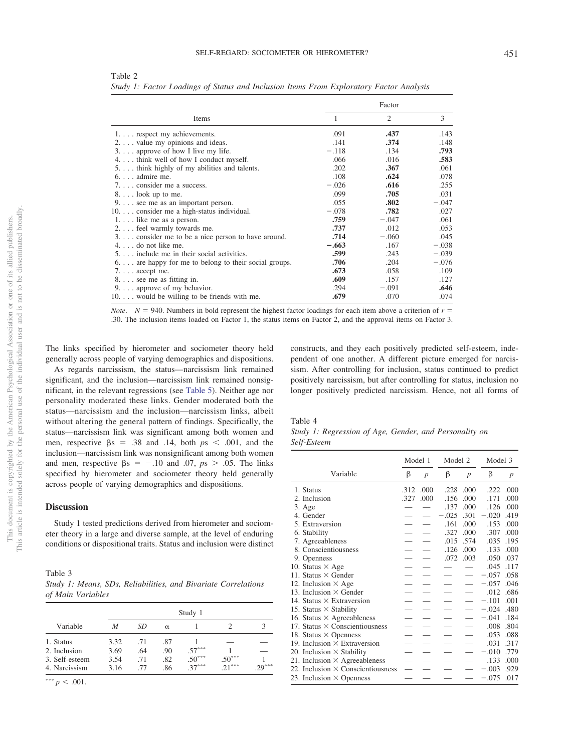|                                                                |         | Factor  |         |
|----------------------------------------------------------------|---------|---------|---------|
| Items                                                          | 1       | 2       | 3       |
| 1. respect my achievements.                                    | .091    | .437    | .143    |
| $2. \ldots$ value my opinions and ideas.                       | .141    | .374    | .148    |
| $3. \ldots$ approve of how I live my life.                     | $-.118$ | .134    | .793    |
| 4. think well of how I conduct myself.                         | .066    | .016    | .583    |
| 5. think highly of my abilities and talents.                   | .202    | .367    | .061    |
| $6. \ldots$ admire me.                                         | .108    | .624    | .078    |
| 7. consider me a success.                                      | $-.026$ | .616    | .255    |
| $8. \ldots$ look up to me.                                     | .099    | .705    | .031    |
| $9. \ldots$ see me as an important person.                     | .055    | .802    | $-.047$ |
| 10. consider me a high-status individual.                      | $-.078$ | .782    | .027    |
| 1. like me as a person.                                        | .759    | $-.047$ | .061    |
| 2. feel warmly towards me.                                     | .737    | .012    | .053    |
| 3. consider me to be a nice person to have around.             | .714    | $-.060$ | .045    |
| $4. \ldots$ do not like me.                                    | $-.663$ | .167    | $-.038$ |
| 5. include me in their social activities.                      | .599    | .243    | $-.039$ |
| $6. \ldots$ are happy for me to belong to their social groups. | .706    | .204    | $-.076$ |
| $7. \ldots$ accept me.                                         | .673    | .058    | .109    |
| 8. see me as fitting in.                                       | .609    | .157    | .127    |
| $9. \ldots$ approve of my behavior.                            | .294    | $-.091$ | .646    |
| 10. would be willing to be friends with me.                    | .679    | .070    | .074    |

Table 2 *Study 1: Factor Loadings of Status and Inclusion Items From Exploratory Factor Analysis*

*Note.*  $N = 940$ . Numbers in bold represent the highest factor loadings for each item above a criterion of  $r =$ .30. The inclusion items loaded on Factor 1, the status items on Factor 2, and the approval items on Factor 3.

The links specified by hierometer and sociometer theory held generally across people of varying demographics and dispositions.

As regards narcissism, the status—narcissism link remained significant, and the inclusion—narcissism link remained nonsignificant, in the relevant regressions (see Table 5). Neither age nor personality moderated these links. Gender moderated both the status—narcissism and the inclusion—narcissism links, albeit without altering the general pattern of findings. Specifically, the status—narcissism link was significant among both women and men, respective  $\beta s = .38$  and .14, both  $ps < .001$ , and the inclusion—narcissism link was nonsignificant among both women and men, respective  $\beta s = -.10$  and .07,  $ps > .05$ . The links specified by hierometer and sociometer theory held generally across people of varying demographics and dispositions.

# **Discussion**

Study 1 tested predictions derived from hierometer and sociometer theory in a large and diverse sample, at the level of enduring conditions or dispositional traits. Status and inclusion were distinct

| Table 3                                                        |  |  |
|----------------------------------------------------------------|--|--|
| Study 1: Means, SDs, Reliabilities, and Bivariate Correlations |  |  |
| of Main Variables                                              |  |  |

|                |      | Study 1 |          |          |          |          |  |  |  |
|----------------|------|---------|----------|----------|----------|----------|--|--|--|
| Variable       | М    | SD      | $\alpha$ |          |          |          |  |  |  |
| 1. Status      | 3.32 | .71     | .87      |          |          |          |  |  |  |
| 2. Inclusion   | 3.69 | .64     | .90      | $.57***$ |          |          |  |  |  |
| 3. Self-esteem | 3.54 | .71     | .82      | $.50***$ | $.50***$ |          |  |  |  |
| 4. Narcissism  | 3.16 | .77     | .86      | $37***$  | ***      | $-29***$ |  |  |  |

\*\*\*  $p < .001$ .

constructs, and they each positively predicted self-esteem, independent of one another. A different picture emerged for narcissism. After controlling for inclusion, status continued to predict positively narcissism, but after controlling for status, inclusion no longer positively predicted narcissism. Hence, not all forms of

#### Table 4

|             | Study 1: Regression of Age, Gender, and Personality on |  |  |  |
|-------------|--------------------------------------------------------|--|--|--|
| Self-Esteem |                                                        |  |  |  |

|                                          | Model 1 |                  | Model 2 |                  | Model 3 |      |
|------------------------------------------|---------|------------------|---------|------------------|---------|------|
| Variable                                 | β       | $\boldsymbol{p}$ | β       | $\boldsymbol{p}$ | β       | p    |
| 1. Status                                | .312    | .000             |         | .228 .000        | .222    | .000 |
| 2. Inclusion                             | .327    | .000             | .156    | .000             | .171    | .000 |
| 3. Age                                   |         |                  | .137    | .000             | .126    | .000 |
| 4. Gender                                |         |                  | $-.025$ | .301             | $-.020$ | .419 |
| 5. Extraversion                          |         |                  | .161    | .000             | .153    | .000 |
| 6. Stability                             |         |                  | .327    | .000             | .307    | .000 |
| 7. Agreeableness                         |         |                  | .015    | .574             | .035    | .195 |
| 8. Conscientiousness                     |         |                  | .126    | .000             | .133    | .000 |
| 9. Openness                              |         |                  | .072    | .003             | .050    | .037 |
| 10. Status $\times$ Age                  |         |                  |         |                  | .045    | .117 |
| 11. Status $\times$ Gender               |         |                  |         |                  | $-.057$ | .058 |
| 12. Inclusion $\times$ Age               |         |                  |         |                  | $-.057$ | .046 |
| 13. Inclusion $\times$ Gender            |         |                  |         |                  | .012    | .686 |
| 14. Status $\times$ Extraversion         |         |                  |         |                  | $-.101$ | .001 |
| 15. Status $\times$ Stability            |         |                  |         |                  | $-.024$ | .480 |
| 16. Status $\times$ Agreeableness        |         |                  |         |                  | $-.041$ | .184 |
| 17. Status $\times$ Conscientiousness    |         |                  |         |                  | .008    | .804 |
| 18. Status $\times$ Openness             |         |                  |         |                  | .053    | .088 |
| 19. Inclusion $\times$ Extraversion      |         |                  |         |                  | .031    | .317 |
| 20. Inclusion $\times$ Stability         |         |                  |         |                  | $-.010$ | .779 |
| 21. Inclusion $\times$ Agreeableness     |         |                  |         |                  | .133    | .000 |
| 22. Inclusion $\times$ Conscientiousness |         |                  |         |                  | $-.003$ | .929 |
| 23. Inclusion $\times$ Openness          |         |                  |         |                  | $-.075$ | .017 |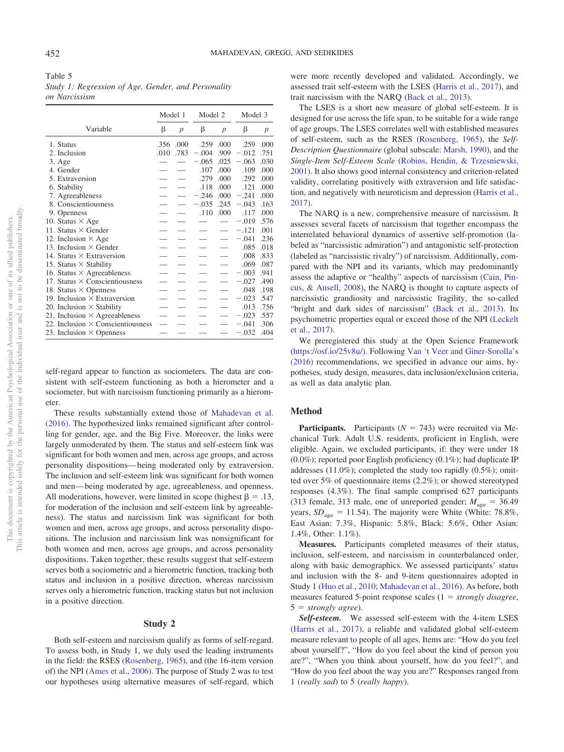| Table 5                                             |  |
|-----------------------------------------------------|--|
| Study 1: Regression of Age, Gender, and Personality |  |
| on Narcissism                                       |  |

|                                          | Model 1 |                | Model 2 |                  | Model 3 |                  |
|------------------------------------------|---------|----------------|---------|------------------|---------|------------------|
| Variable                                 | β       | $\overline{p}$ | β       | $\boldsymbol{p}$ | β       | $\boldsymbol{p}$ |
| 1. Status                                | .356    | .000           | .259    | .000             | .259    | .000             |
| 2. Inclusion                             | .010    | .783           | $-.004$ | .909             | $-.012$ | .751             |
| 3. Age                                   |         |                | $-.065$ | .025             | $-.063$ | .030             |
| 4. Gender                                |         |                | .107    | .000             | .109    | .000             |
| 5. Extraversion                          |         |                | .279    | .000             | .292    | .000             |
| 6. Stability                             |         |                | .118    | .000             | .121    | .000             |
| 7. Agreeableness                         |         |                | $-.246$ | .000             | $-.241$ | .000             |
| 8. Conscientiousness                     |         |                | $-.035$ | .245             | $-.043$ | .163             |
| 9. Openness                              |         |                | .110    | .000             | .117    | .000             |
| 10. Status $\times$ Age                  |         |                |         |                  | $-.019$ | .576             |
| 11. Status $\times$ Gender               |         |                |         |                  | $-.121$ | .001             |
| 12. Inclusion $\times$ Age               |         |                |         |                  | $-.041$ | .236             |
| 13. Inclusion $\times$ Gender            |         |                |         |                  | .085    | .018             |
| 14. Status $\times$ Extraversion         |         |                |         |                  | .008    | .833             |
| 15. Status $\times$ Stability            |         |                |         |                  | .069    | .087             |
| 16. Status $\times$ Agreeableness        |         |                |         |                  | $-.003$ | .941             |
| 17. Status $\times$ Conscientiousness    |         |                |         |                  | $-.027$ | .490             |
| 18. Status $\times$ Openness             |         |                |         |                  | .048    | .198             |
| 19. Inclusion $\times$ Extraversion      |         |                |         |                  | $-.023$ | .547             |
| 20. Inclusion $\times$ Stability         |         |                |         |                  | .013    | .756             |
| 21. Inclusion $\times$ Agreeableness     |         |                |         |                  | $-.023$ | .557             |
| 22. Inclusion $\times$ Conscientiousness |         |                |         |                  | $-.041$ | .306             |
| 23. Inclusion $\times$ Openness          |         |                |         |                  | $-.032$ | .404             |

self-regard appear to function as sociometers. The data are consistent with self-esteem functioning as both a hierometer and a sociometer, but with narcissism functioning primarily as a hierometer.

These results substantially extend those of Mahadevan et al. (2016). The hypothesized links remained significant after controlling for gender, age, and the Big Five. Moreover, the links were largely unmoderated by them. The status and self-esteem link was significant for both women and men, across age groups, and across personality dispositions—being moderated only by extraversion. The inclusion and self-esteem link was significant for both women and men—being moderated by age, agreeableness, and openness. All moderations, however, were limited in scope (highest  $\beta = .13$ , for moderation of the inclusion and self-esteem link by agreeableness). The status and narcissism link was significant for both women and men, across age groups, and across personality dispositions. The inclusion and narcissism link was nonsignificant for both women and men, across age groups, and across personality dispositions. Taken together, these results suggest that self-esteem serves both a sociometric and a hierometric function, tracking both status and inclusion in a positive direction, whereas narcissism serves only a hierometric function, tracking status but not inclusion in a positive direction.

#### **Study 2**

Both self-esteem and narcissism qualify as forms of self-regard. To assess both, in Study 1, we duly used the leading instruments in the field: the RSES (Rosenberg, 1965), and (the 16-item version of) the NPI (Ames et al., 2006). The purpose of Study 2 was to test our hypotheses using alternative measures of self-regard, which were more recently developed and validated. Accordingly, we assessed trait self-esteem with the LSES (Harris et al., 2017), and trait narcissism with the NARQ (Back et al., 2013).

The LSES is a short new measure of global self-esteem. It is designed for use across the life span, to be suitable for a wide range of age groups. The LSES correlates well with established measures of self-esteem, such as the RSES (Rosenberg, 1965), the *Self-Description Questionnaire* (global subscale: Marsh, 1990), and the *Single-Item Self-Esteem Scale* (Robins, Hendin, & Trzesniewski, 2001). It also shows good internal consistency and criterion-related validity, correlating positively with extraversion and life satisfaction, and negatively with neuroticism and depression (Harris et al., 2017).

The NARQ is a new, comprehensive measure of narcissism. It assesses several facets of narcissism that together encompass the interrelated behavioral dynamics of assertive self-promotion (labeled as "narcissistic admiration") and antagonistic self-protection (labeled as "narcissistic rivalry") of narcissism. Additionally, compared with the NPI and its variants, which may predominantly assess the adaptive or "healthy" aspects of narcissism (Cain, Pincus, & Ansell, 2008), the NARQ is thought to capture aspects of narcissistic grandiosity and narcissistic fragility, the so-called "bright and dark sides of narcissism" (Back et al., 2013). Its psychometric properties equal or exceed those of the NPI (Leckelt et al., 2017).

We preregistered this study at the Open Science Framework (https://osf.io/25v8u/). Following Van 't Veer and Giner-Sorolla's (2016) recommendations, we specified in advance our aims, hypotheses, study design, measures, data inclusion/exclusion criteria, as well as data analytic plan.

### **Method**

**Participants.** Participants ( $N = 743$ ) were recruited via Mechanical Turk. Adult U.S. residents, proficient in English, were eligible. Again, we excluded participants, if: they were under 18 (0.0%); reported poor English proficiency (0.1%); had duplicate IP addresses (11.0%); completed the study too rapidly (0.5%); omitted over 5% of questionnaire items (2.2%); or showed stereotyped responses (4.3%). The final sample comprised 627 participants (313 female, 313 male, one of unreported gender;  $M_{\text{age}} = 36.49$ years,  $SD<sub>age</sub> = 11.54$ ). The majority were White (White: 78.8%, East Asian: 7.3%, Hispanic: 5.8%, Black: 5.6%, Other Asian: 1.4%, Other: 1.1%).

**Measures.** Participants completed measures of their status, inclusion, self-esteem, and narcissism in counterbalanced order, along with basic demographics. We assessed participants' status and inclusion with the 8- and 9-item questionnaires adopted in Study 1 (Huo et al., 2010; Mahadevan et al., 2016). As before, both measures featured 5-point response scales (1 = *strongly disagree*, 5 - *strongly agree*).

*Self-esteem.* We assessed self-esteem with the 4-item LSES (Harris et al., 2017), a reliable and validated global self-esteem measure relevant to people of all ages. Items are: "How do you feel about yourself?", "How do you feel about the kind of person you are?", "When you think about yourself, how do you feel?", and "How do you feel about the way you are?" Responses ranged from 1 (*really sad*) to 5 (*really happy*).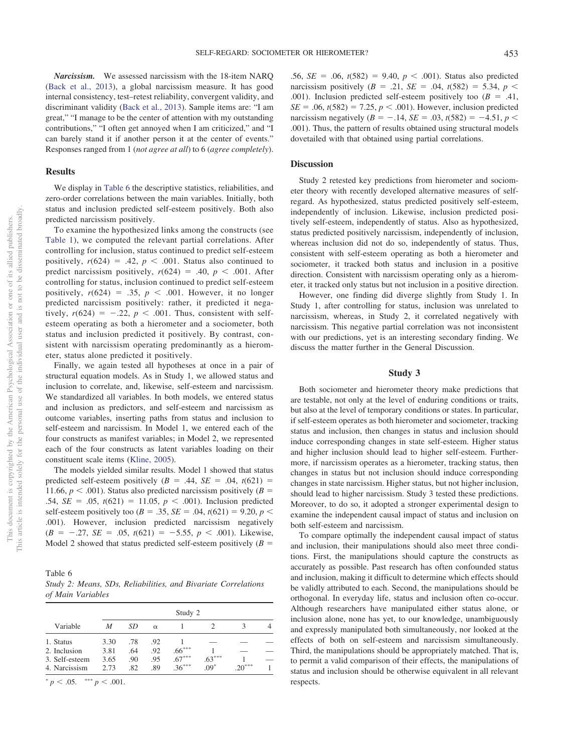*Narcissism.* We assessed narcissism with the 18-item NARQ (Back et al., 2013), a global narcissism measure. It has good internal consistency, test–retest reliability, convergent validity, and discriminant validity (Back et al., 2013). Sample items are: "I am great," "I manage to be the center of attention with my outstanding contributions," "I often get annoyed when I am criticized," and "I can barely stand it if another person it at the center of events." Responses ranged from 1 (*not agree at all*) to 6 (*agree completely*).

#### **Results**

We display in Table 6 the descriptive statistics, reliabilities, and zero-order correlations between the main variables. Initially, both status and inclusion predicted self-esteem positively. Both also predicted narcissism positively.

To examine the hypothesized links among the constructs (see Table 1), we computed the relevant partial correlations. After controlling for inclusion, status continued to predict self-esteem positively,  $r(624) = .42$ ,  $p < .001$ . Status also continued to predict narcissism positively,  $r(624) = .40, p < .001$ . After controlling for status, inclusion continued to predict self-esteem positively,  $r(624) = .35$ ,  $p < .001$ . However, it no longer predicted narcissism positively: rather, it predicted it negatively,  $r(624) = -.22$ ,  $p < .001$ . Thus, consistent with selfesteem operating as both a hierometer and a sociometer, both status and inclusion predicted it positively. By contrast, consistent with narcissism operating predominantly as a hierometer, status alone predicted it positively.

Finally, we again tested all hypotheses at once in a pair of structural equation models. As in Study 1, we allowed status and inclusion to correlate, and, likewise, self-esteem and narcissism. We standardized all variables. In both models, we entered status and inclusion as predictors, and self-esteem and narcissism as outcome variables, inserting paths from status and inclusion to self-esteem and narcissism. In Model 1, we entered each of the four constructs as manifest variables; in Model 2, we represented each of the four constructs as latent variables loading on their constituent scale items (Kline, 2005).

The models yielded similar results. Model 1 showed that status predicted self-esteem positively  $(B = .44, SE = .04, t(621) =$ 11.66,  $p < .001$ ). Status also predicted narcissism positively ( $B =$ .54,  $SE = .05$ ,  $t(621) = 11.05$ ,  $p < .001$ ). Inclusion predicted self-esteem positively too ( $B = .35$ ,  $SE = .04$ ,  $t(621) = 9.20$ ,  $p <$ .001). However, inclusion predicted narcissism negatively  $(B = -.27, SE = .05, t(621) = -5.55, p < .001$ ). Likewise, Model 2 showed that status predicted self-esteem positively  $(B =$ 

Table 6 *Study 2: Means, SDs, Reliabilities, and Bivariate Correlations of Main Variables*

|                                             | Study 2              |                   |                   |                      |          |         |  |
|---------------------------------------------|----------------------|-------------------|-------------------|----------------------|----------|---------|--|
| Variable                                    | M                    | SD                | $\alpha$          |                      |          |         |  |
| 1. Status<br>2. Inclusion<br>3. Self-esteem | 3.30<br>3.81<br>3.65 | .78<br>.64<br>.90 | .92<br>.92<br>.95 | $.66***$<br>$.67***$ | $.63***$ |         |  |
| 4. Narcissism                               | 2.73                 | .82               | .89               | $36***$              | $.09*$   | $20***$ |  |

 $p < .05.$  \*\*\*  $p < .001.$ 

.56,  $SE = .06$ ,  $t(582) = 9.40$ ,  $p < .001$ ). Status also predicted narcissism positively  $(B = .21, SE = .04, t(582) = 5.34, p <$ .001). Inclusion predicted self-esteem positively too  $(B = .41,$  $SE = .06$ ,  $t(582) = 7.25$ ,  $p < .001$ ). However, inclusion predicted narcissism negatively  $(B = -.14, SE = .03, t(582) = -4.51, p <$ .001). Thus, the pattern of results obtained using structural models dovetailed with that obtained using partial correlations.

#### **Discussion**

Study 2 retested key predictions from hierometer and sociometer theory with recently developed alternative measures of selfregard. As hypothesized, status predicted positively self-esteem, independently of inclusion. Likewise, inclusion predicted positively self-esteem, independently of status. Also as hypothesized, status predicted positively narcissism, independently of inclusion, whereas inclusion did not do so, independently of status. Thus, consistent with self-esteem operating as both a hierometer and sociometer, it tracked both status and inclusion in a positive direction. Consistent with narcissism operating only as a hierometer, it tracked only status but not inclusion in a positive direction.

However, one finding did diverge slightly from Study 1. In Study 1, after controlling for status, inclusion was unrelated to narcissism, whereas, in Study 2, it correlated negatively with narcissism. This negative partial correlation was not inconsistent with our predictions, yet is an interesting secondary finding. We discuss the matter further in the General Discussion.

#### **Study 3**

Both sociometer and hierometer theory make predictions that are testable, not only at the level of enduring conditions or traits, but also at the level of temporary conditions or states. In particular, if self-esteem operates as both hierometer and sociometer, tracking status and inclusion, then changes in status and inclusion should induce corresponding changes in state self-esteem. Higher status and higher inclusion should lead to higher self-esteem. Furthermore, if narcissism operates as a hierometer, tracking status, then changes in status but not inclusion should induce corresponding changes in state narcissism. Higher status, but not higher inclusion, should lead to higher narcissism. Study 3 tested these predictions. Moreover, to do so, it adopted a stronger experimental design to examine the independent causal impact of status and inclusion on both self-esteem and narcissism.

To compare optimally the independent causal impact of status and inclusion, their manipulations should also meet three conditions. First, the manipulations should capture the constructs as accurately as possible. Past research has often confounded status and inclusion, making it difficult to determine which effects should be validly attributed to each. Second, the manipulations should be orthogonal. In everyday life, status and inclusion often co-occur. Although researchers have manipulated either status alone, or inclusion alone, none has yet, to our knowledge, unambiguously and expressly manipulated both simultaneously, nor looked at the effects of both on self-esteem and narcissism simultaneously. Third, the manipulations should be appropriately matched. That is, to permit a valid comparison of their effects, the manipulations of status and inclusion should be otherwise equivalent in all relevant respects.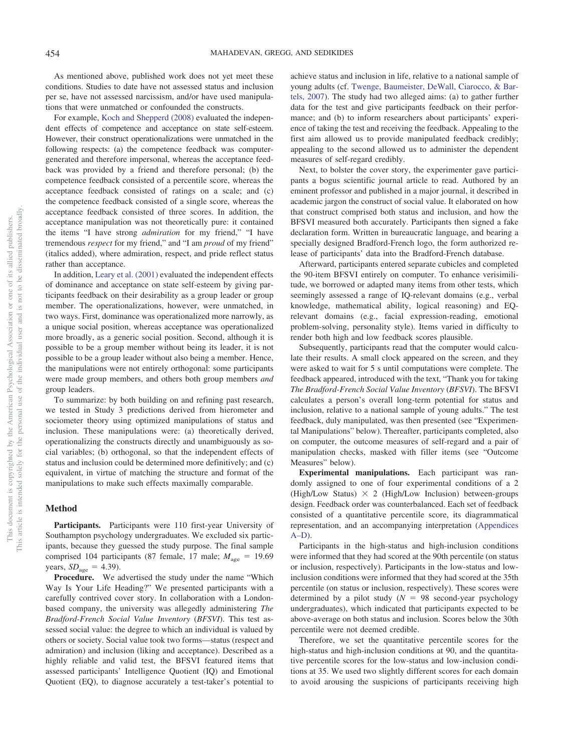As mentioned above, published work does not yet meet these conditions. Studies to date have not assessed status and inclusion per se, have not assessed narcissism, and/or have used manipulations that were unmatched or confounded the constructs.

For example, Koch and Shepperd (2008) evaluated the independent effects of competence and acceptance on state self-esteem. However, their construct operationalizations were unmatched in the following respects: (a) the competence feedback was computergenerated and therefore impersonal, whereas the acceptance feedback was provided by a friend and therefore personal; (b) the competence feedback consisted of a percentile score, whereas the acceptance feedback consisted of ratings on a scale; and (c) the competence feedback consisted of a single score, whereas the acceptance feedback consisted of three scores. In addition, the acceptance manipulation was not theoretically pure: it contained the items "I have strong *admiration* for my friend," "I have tremendous *respect* for my friend," and "I am *proud* of my friend" (italics added), where admiration, respect, and pride reflect status rather than acceptance.

In addition, Leary et al. (2001) evaluated the independent effects of dominance and acceptance on state self-esteem by giving participants feedback on their desirability as a group leader or group member. The operationalizations, however, were unmatched, in two ways. First, dominance was operationalized more narrowly, as a unique social position, whereas acceptance was operationalized more broadly, as a generic social position. Second, although it is possible to be a group member without being its leader, it is not possible to be a group leader without also being a member. Hence, the manipulations were not entirely orthogonal: some participants were made group members, and others both group members *and* group leaders.

To summarize: by both building on and refining past research, we tested in Study 3 predictions derived from hierometer and sociometer theory using optimized manipulations of status and inclusion. These manipulations were: (a) theoretically derived, operationalizing the constructs directly and unambiguously as social variables; (b) orthogonal, so that the independent effects of status and inclusion could be determined more definitively; and (c) equivalent, in virtue of matching the structure and format of the manipulations to make such effects maximally comparable.

# **Method**

Participants. Participants were 110 first-year University of Southampton psychology undergraduates. We excluded six participants, because they guessed the study purpose. The final sample comprised 104 participants (87 female, 17 male;  $M_{\text{age}} = 19.69$ years,  $SD<sub>age</sub> = 4.39$ .

**Procedure.** We advertised the study under the name "Which Way Is Your Life Heading?" We presented participants with a carefully contrived cover story. In collaboration with a Londonbased company, the university was allegedly administering *The Bradford-French Social Value Inventory* (*BFSVI*). This test assessed social value: the degree to which an individual is valued by others or society. Social value took two forms—status (respect and admiration) and inclusion (liking and acceptance). Described as a highly reliable and valid test, the BFSVI featured items that assessed participants' Intelligence Quotient (IQ) and Emotional Quotient (EQ), to diagnose accurately a test-taker's potential to achieve status and inclusion in life, relative to a national sample of young adults (cf. Twenge, Baumeister, DeWall, Ciarocco, & Bartels, 2007). The study had two alleged aims: (a) to gather further data for the test and give participants feedback on their performance; and (b) to inform researchers about participants' experience of taking the test and receiving the feedback. Appealing to the first aim allowed us to provide manipulated feedback credibly; appealing to the second allowed us to administer the dependent measures of self-regard credibly.

Next, to bolster the cover story, the experimenter gave participants a bogus scientific journal article to read. Authored by an eminent professor and published in a major journal, it described in academic jargon the construct of social value. It elaborated on how that construct comprised both status and inclusion, and how the BFSVI measured both accurately. Participants then signed a fake declaration form. Written in bureaucratic language, and bearing a specially designed Bradford-French logo, the form authorized release of participants' data into the Bradford-French database.

Afterward, participants entered separate cubicles and completed the 90-item BFSVI entirely on computer. To enhance verisimilitude, we borrowed or adapted many items from other tests, which seemingly assessed a range of IQ-relevant domains (e.g., verbal knowledge, mathematical ability, logical reasoning) and EQrelevant domains (e.g., facial expression-reading, emotional problem-solving, personality style). Items varied in difficulty to render both high and low feedback scores plausible.

Subsequently, participants read that the computer would calculate their results. A small clock appeared on the screen, and they were asked to wait for 5 s until computations were complete. The feedback appeared, introduced with the text, "Thank you for taking *The Bradford-French Social Value Inventory* (*BFSVI*). The BFSVI calculates a person's overall long-term potential for status and inclusion, relative to a national sample of young adults." The test feedback, duly manipulated, was then presented (see "Experimental Manipulations" below). Thereafter, participants completed, also on computer, the outcome measures of self-regard and a pair of manipulation checks, masked with filler items (see "Outcome Measures" below).

**Experimental manipulations.** Each participant was randomly assigned to one of four experimental conditions of a 2 (High/Low Status)  $\times$  2 (High/Low Inclusion) between-groups design. Feedback order was counterbalanced. Each set of feedback consisted of a quantitative percentile score, its diagrammatical representation, and an accompanying interpretation (Appendices A–D).

Participants in the high-status and high-inclusion conditions were informed that they had scored at the 90th percentile (on status or inclusion, respectively). Participants in the low-status and lowinclusion conditions were informed that they had scored at the 35th percentile (on status or inclusion, respectively). These scores were determined by a pilot study  $(N = 98$  second-year psychology undergraduates), which indicated that participants expected to be above-average on both status and inclusion. Scores below the 30th percentile were not deemed credible.

Therefore, we set the quantitative percentile scores for the high-status and high-inclusion conditions at 90, and the quantitative percentile scores for the low-status and low-inclusion conditions at 35. We used two slightly different scores for each domain to avoid arousing the suspicions of participants receiving high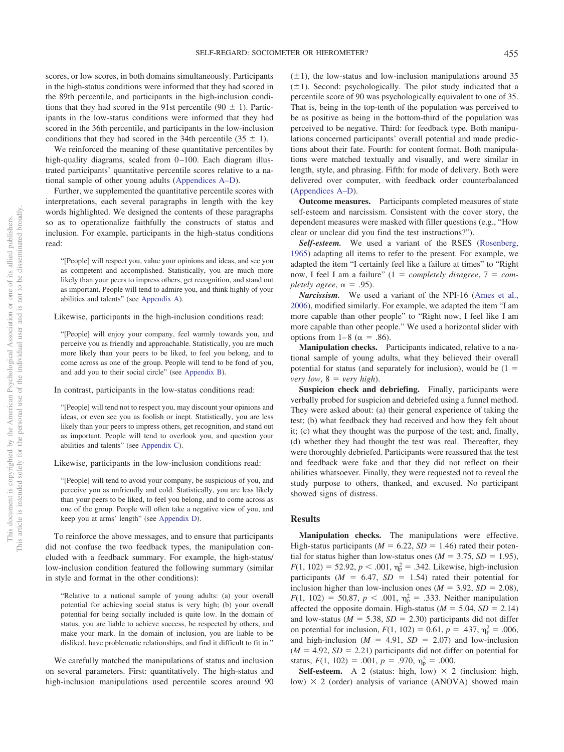scores, or low scores, in both domains simultaneously. Participants in the high-status conditions were informed that they had scored in the 89th percentile, and participants in the high-inclusion conditions that they had scored in the 91st percentile (90  $\pm$  1). Participants in the low-status conditions were informed that they had scored in the 36th percentile, and participants in the low-inclusion conditions that they had scored in the 34th percentile  $(35 \pm 1)$ .

We reinforced the meaning of these quantitative percentiles by high-quality diagrams, scaled from 0–100. Each diagram illustrated participants' quantitative percentile scores relative to a national sample of other young adults (Appendices A–D).

Further, we supplemented the quantitative percentile scores with interpretations, each several paragraphs in length with the key words highlighted. We designed the contents of these paragraphs so as to operationalize faithfully the constructs of status and inclusion. For example, participants in the high-status conditions read:

"[People] will respect you, value your opinions and ideas, and see you as competent and accomplished. Statistically, you are much more likely than your peers to impress others, get recognition, and stand out as important. People will tend to admire you, and think highly of your abilities and talents" (see Appendix A).

Likewise, participants in the high-inclusion conditions read:

"[People] will enjoy your company, feel warmly towards you, and perceive you as friendly and approachable. Statistically, you are much more likely than your peers to be liked, to feel you belong, and to come across as one of the group. People will tend to be fond of you, and add you to their social circle" (see Appendix B).

In contrast, participants in the low-status conditions read:

"[People] will tend not to respect you, may discount your opinions and ideas, or even see you as foolish or inept. Statistically, you are less likely than your peers to impress others, get recognition, and stand out as important. People will tend to overlook you, and question your abilities and talents" (see Appendix C).

Likewise, participants in the low-inclusion conditions read:

"[People] will tend to avoid your company, be suspicious of you, and perceive you as unfriendly and cold. Statistically, you are less likely than your peers to be liked, to feel you belong, and to come across as one of the group. People will often take a negative view of you, and keep you at arms' length" (see Appendix D).

To reinforce the above messages, and to ensure that participants did not confuse the two feedback types, the manipulation concluded with a feedback summary. For example, the high-status/ low-inclusion condition featured the following summary (similar in style and format in the other conditions):

"Relative to a national sample of young adults: (a) your overall potential for achieving social status is very high; (b) your overall potential for being socially included is quite low. In the domain of status, you are liable to achieve success, be respected by others, and make your mark. In the domain of inclusion, you are liable to be disliked, have problematic relationships, and find it difficult to fit in."

We carefully matched the manipulations of status and inclusion on several parameters. First: quantitatively. The high-status and high-inclusion manipulations used percentile scores around 90  $(\pm 1)$ , the low-status and low-inclusion manipulations around 35  $(\pm 1)$ . Second: psychologically. The pilot study indicated that a percentile score of 90 was psychologically equivalent to one of 35. That is, being in the top-tenth of the population was perceived to be as positive as being in the bottom-third of the population was perceived to be negative. Third: for feedback type. Both manipulations concerned participants' overall potential and made predictions about their fate. Fourth: for content format. Both manipulations were matched textually and visually, and were similar in length, style, and phrasing. Fifth: for mode of delivery. Both were delivered over computer, with feedback order counterbalanced (Appendices A–D).

**Outcome measures.** Participants completed measures of state self-esteem and narcissism. Consistent with the cover story, the dependent measures were masked with filler questions (e.g., "How clear or unclear did you find the test instructions?").

*Self-esteem.* We used a variant of the RSES (Rosenberg, 1965) adapting all items to refer to the present. For example, we adapted the item "I certainly feel like a failure at times" to "Right now, I feel I am a failure"  $(1 = completely disagree, 7 = com$ *pletely agree,*  $\alpha = .95$ .

*Narcissism.* We used a variant of the NPI-16 (Ames et al., 2006), modified similarly. For example, we adapted the item "I am more capable than other people" to "Right now, I feel like I am more capable than other people." We used a horizontal slider with options from  $1-8$  ( $\alpha = .86$ ).

**Manipulation checks.** Participants indicated, relative to a national sample of young adults, what they believed their overall potential for status (and separately for inclusion), would be  $(1 =$ *very low*,  $8 = \text{very high}$ .

**Suspicion check and debriefing.** Finally, participants were verbally probed for suspicion and debriefed using a funnel method. They were asked about: (a) their general experience of taking the test; (b) what feedback they had received and how they felt about it; (c) what they thought was the purpose of the test; and, finally, (d) whether they had thought the test was real. Thereafter, they were thoroughly debriefed. Participants were reassured that the test and feedback were fake and that they did not reflect on their abilities whatsoever. Finally, they were requested not to reveal the study purpose to others, thanked, and excused. No participant showed signs of distress.

#### **Results**

**Manipulation checks.** The manipulations were effective. High-status participants ( $M = 6.22$ ,  $SD = 1.46$ ) rated their potential for status higher than low-status ones  $(M = 3.75, SD = 1.95)$ ,  $F(1, 102) = 52.92, p < .001, \eta_{\rm p}^2 = .342$ . Likewise, high-inclusion participants ( $M = 6.47$ ,  $SD = 1.54$ ) rated their potential for inclusion higher than low-inclusion ones  $(M = 3.92, SD = 2.08)$ ,  $F(1, 102) = 50.87, p < .001, \eta_{\rm p}^2 = .333$ . Neither manipulation affected the opposite domain. High-status  $(M = 5.04, SD = 2.14)$ and low-status ( $M = 5.38$ ,  $SD = 2.30$ ) participants did not differ on potential for inclusion,  $F(1, 102) = 0.61$ ,  $p = .437$ ,  $\eta_p^2 = .006$ , and high-inclusion ( $M = 4.91$ ,  $SD = 2.07$ ) and low-inclusion  $(M = 4.92, SD = 2.21)$  participants did not differ on potential for status,  $F(1, 102) = .001$ ,  $p = .970$ ,  $\eta_p^2 = .000$ .

**Self-esteem.** A 2 (status: high, low)  $\times$  2 (inclusion: high, low)  $\times$  2 (order) analysis of variance (ANOVA) showed main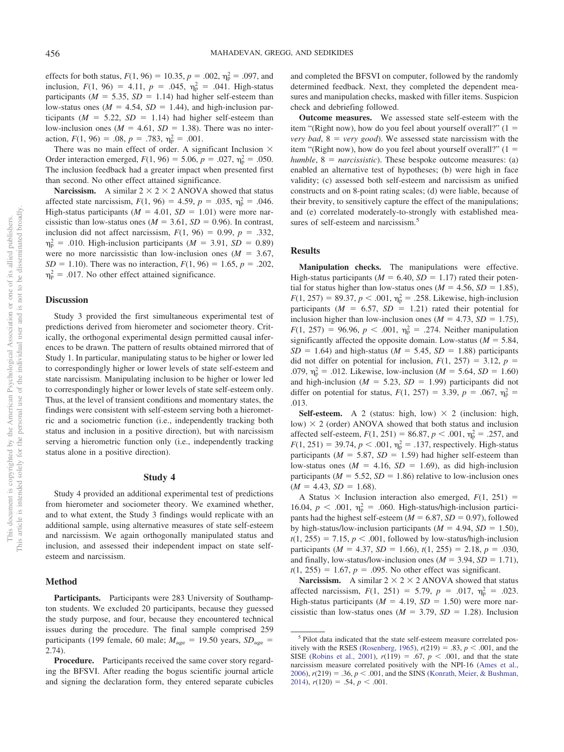effects for both status,  $F(1, 96) = 10.35$ ,  $p = .002$ ,  $\eta_p^2 = .097$ , and inclusion,  $F(1, 96) = 4.11$ ,  $p = .045$ ,  $\eta_p^2 = .041$ . High-status participants ( $M = 5.35$ ,  $SD = 1.14$ ) had higher self-esteem than low-status ones  $(M = 4.54, SD = 1.44)$ , and high-inclusion participants  $(M = 5.22, SD = 1.14)$  had higher self-esteem than low-inclusion ones  $(M = 4.61, SD = 1.38)$ . There was no interaction,  $F(1, 96) = .08$ ,  $p = .783$ ,  $\eta_p^2 = .001$ .

There was no main effect of order. A significant Inclusion  $\times$ Order interaction emerged,  $F(1, 96) = 5.06$ ,  $p = .027$ ,  $\eta_p^2 = .050$ . The inclusion feedback had a greater impact when presented first than second. No other effect attained significance.

**Narcissism.** A similar  $2 \times 2 \times 2$  ANOVA showed that status affected state narcissism,  $F(1, 96) = 4.59$ ,  $p = .035$ ,  $\eta_p^2 = .046$ . High-status participants  $(M = 4.01, SD = 1.01)$  were more narcissistic than low-status ones  $(M = 3.61, SD = 0.96)$ . In contrast, inclusion did not affect narcissism,  $F(1, 96) = 0.99$ ,  $p = .332$ ,  $\eta_{\rm p}^2$  = .010. High-inclusion participants (*M* = 3.91, *SD* = 0.89) were no more narcissistic than low-inclusion ones  $(M = 3.67,$  $SD = 1.10$ ). There was no interaction,  $F(1, 96) = 1.65$ ,  $p = .202$ ,  $\eta_{\rm p}^2$  = .017. No other effect attained significance.

#### **Discussion**

Study 3 provided the first simultaneous experimental test of predictions derived from hierometer and sociometer theory. Critically, the orthogonal experimental design permitted causal inferences to be drawn. The pattern of results obtained mirrored that of Study 1. In particular, manipulating status to be higher or lower led to correspondingly higher or lower levels of state self-esteem and state narcissism. Manipulating inclusion to be higher or lower led to correspondingly higher or lower levels of state self-esteem only. Thus, at the level of transient conditions and momentary states, the findings were consistent with self-esteem serving both a hierometric and a sociometric function (i.e., independently tracking both status and inclusion in a positive direction), but with narcissism serving a hierometric function only (i.e., independently tracking status alone in a positive direction).

#### **Study 4**

Study 4 provided an additional experimental test of predictions from hierometer and sociometer theory. We examined whether, and to what extent, the Study 3 findings would replicate with an additional sample, using alternative measures of state self-esteem and narcissism. We again orthogonally manipulated status and inclusion, and assessed their independent impact on state selfesteem and narcissism.

#### **Method**

**Participants.** Participants were 283 University of Southampton students. We excluded 20 participants, because they guessed the study purpose, and four, because they encountered technical issues during the procedure. The final sample comprised 259 participants (199 female, 60 male;  $M_{\text{age}} = 19.50$  years,  $SD_{\text{age}} =$ 2.74).

**Procedure.** Participants received the same cover story regarding the BFSVI. After reading the bogus scientific journal article and signing the declaration form, they entered separate cubicles and completed the BFSVI on computer, followed by the randomly determined feedback. Next, they completed the dependent measures and manipulation checks, masked with filler items. Suspicion check and debriefing followed.

**Outcome measures.** We assessed state self-esteem with the item "(Right now), how do you feel about yourself overall?"  $(1 =$ *very bad*,  $8 = \text{very good}$ . We assessed state narcissism with the item "(Right now), how do you feel about yourself overall?"  $(1 =$  $humble, 8 = narcissistic$ . These bespoke outcome measures: (a) enabled an alternative test of hypotheses; (b) were high in face validity; (c) assessed both self-esteem and narcissism as unified constructs and on 8-point rating scales; (d) were liable, because of their brevity, to sensitively capture the effect of the manipulations; and (e) correlated moderately-to-strongly with established measures of self-esteem and narcissism.<sup>5</sup>

### **Results**

**Manipulation checks.** The manipulations were effective. High-status participants ( $M = 6.40$ ,  $SD = 1.17$ ) rated their potential for status higher than low-status ones  $(M = 4.56, SD = 1.85)$ ,  $F(1, 257) = 89.37, p < .001, \eta_p^2 = .258$ . Likewise, high-inclusion participants  $(M = 6.57, SD = 1.21)$  rated their potential for inclusion higher than low-inclusion ones  $(M = 4.73, SD = 1.75)$ ,  $F(1, 257) = 96.96, p < .001, \eta_{\rm p}^2 = .274$ . Neither manipulation significantly affected the opposite domain. Low-status  $(M = 5.84,$  $SD = 1.64$ ) and high-status ( $M = 5.45$ ,  $SD = 1.88$ ) participants did not differ on potential for inclusion,  $F(1, 257) = 3.12$ ,  $p =$ .079,  $\eta_p^2 = .012$ . Likewise, low-inclusion (*M* = 5.64, *SD* = 1.60) and high-inclusion ( $M = 5.23$ ,  $SD = 1.99$ ) participants did not differ on potential for status,  $F(1, 257) = 3.39$ ,  $p = .067$ ,  $\eta_p^2 =$ .013.

**Self-esteem.** A 2 (status: high, low)  $\times$  2 (inclusion: high, low)  $\times$  2 (order) ANOVA showed that both status and inclusion affected self-esteem,  $F(1, 251) = 86.87, p < .001, \eta_{p}^{2} = .257$ , and  $F(1, 251) = 39.74, p < .001, \eta_{\rm p}^2 = .137$ , respectively. High-status participants ( $M = 5.87$ ,  $SD = 1.59$ ) had higher self-esteem than low-status ones  $(M = 4.16, SD = 1.69)$ , as did high-inclusion participants ( $M = 5.52$ ,  $SD = 1.86$ ) relative to low-inclusion ones  $(M = 4.43, SD = 1.68).$ 

A Status  $\times$  Inclusion interaction also emerged,  $F(1, 251) =$ 16.04,  $p < .001$ ,  $\eta_p^2 = .060$ . High-status/high-inclusion participants had the highest self-esteem ( $M = 6.87$ ,  $SD = 0.97$ ), followed by high-status/low-inclusion participants  $(M = 4.94, SD = 1.50)$ ,  $t(1, 255) = 7.15$ ,  $p < .001$ , followed by low-status/high-inclusion participants ( $M = 4.37$ ,  $SD = 1.66$ ),  $t(1, 255) = 2.18$ ,  $p = .030$ , and finally, low-status/low-inclusion ones  $(M = 3.94, SD = 1.71)$ ,  $t(1, 255) = 1.67$ ,  $p = .095$ . No other effect was significant.

**Narcissism.** A similar  $2 \times 2 \times 2$  ANOVA showed that status affected narcissism,  $F(1, 251) = 5.79$ ,  $p = .017$ ,  $\eta_p^2 = .023$ . High-status participants  $(M = 4.19, SD = 1.50)$  were more narcissistic than low-status ones  $(M = 3.79, SD = 1.28)$ . Inclusion

<sup>&</sup>lt;sup>5</sup> Pilot data indicated that the state self-esteem measure correlated positively with the RSES (Rosenberg, 1965),  $r(219) = .83$ ,  $p < .001$ , and the SISE (Robins et al., 2001),  $r(119) = .67$ ,  $p < .001$ , and that the state narcissism measure correlated positively with the NPI-16 (Ames et al., 2006),  $r(219) = .36$ ,  $p < .001$ , and the SINS (Konrath, Meier, & Bushman,  $2014$ ,  $r(120) = .54$ ,  $p < .001$ .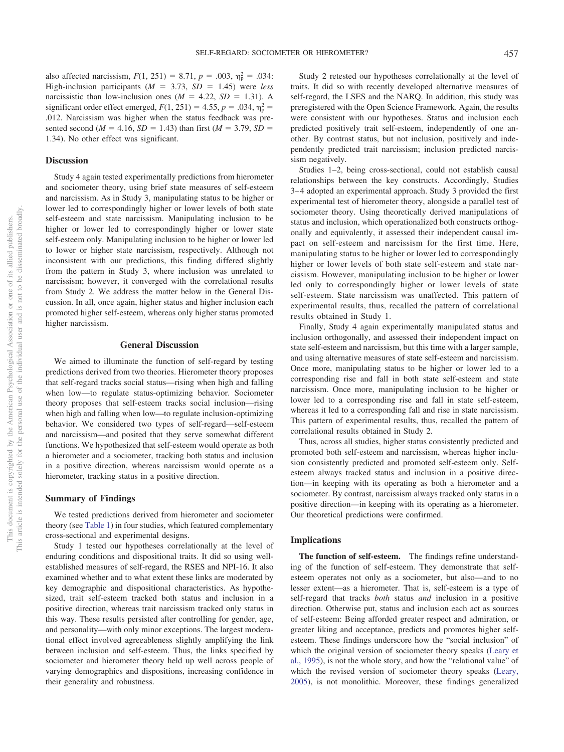also affected narcissism,  $F(1, 251) = 8.71$ ,  $p = .003$ ,  $\eta_p^2 = .034$ : High-inclusion participants  $(M = 3.73, SD = 1.45)$  were *less* narcissistic than low-inclusion ones  $(M = 4.22, SD = 1.31)$ . A significant order effect emerged,  $F(1, 251) = 4.55$ ,  $p = .034$ ,  $\eta_p^2 =$ .012. Narcissism was higher when the status feedback was presented second ( $M = 4.16$ ,  $SD = 1.43$ ) than first ( $M = 3.79$ ,  $SD =$ 1.34). No other effect was significant.

# **Discussion**

Study 4 again tested experimentally predictions from hierometer and sociometer theory, using brief state measures of self-esteem and narcissism. As in Study 3, manipulating status to be higher or lower led to correspondingly higher or lower levels of both state self-esteem and state narcissism. Manipulating inclusion to be higher or lower led to correspondingly higher or lower state self-esteem only. Manipulating inclusion to be higher or lower led to lower or higher state narcissism, respectively. Although not inconsistent with our predictions, this finding differed slightly from the pattern in Study 3, where inclusion was unrelated to narcissism; however, it converged with the correlational results from Study 2. We address the matter below in the General Discussion. In all, once again, higher status and higher inclusion each promoted higher self-esteem, whereas only higher status promoted higher narcissism.

### **General Discussion**

We aimed to illuminate the function of self-regard by testing predictions derived from two theories. Hierometer theory proposes that self-regard tracks social status—rising when high and falling when low—to regulate status-optimizing behavior. Sociometer theory proposes that self-esteem tracks social inclusion—rising when high and falling when low—to regulate inclusion-optimizing behavior. We considered two types of self-regard—self-esteem and narcissism—and posited that they serve somewhat different functions. We hypothesized that self-esteem would operate as both a hierometer and a sociometer, tracking both status and inclusion in a positive direction, whereas narcissism would operate as a hierometer, tracking status in a positive direction.

#### **Summary of Findings**

We tested predictions derived from hierometer and sociometer theory (see Table 1) in four studies, which featured complementary cross-sectional and experimental designs.

Study 1 tested our hypotheses correlationally at the level of enduring conditions and dispositional traits. It did so using wellestablished measures of self-regard, the RSES and NPI-16. It also examined whether and to what extent these links are moderated by key demographic and dispositional characteristics. As hypothesized, trait self-esteem tracked both status and inclusion in a positive direction, whereas trait narcissism tracked only status in this way. These results persisted after controlling for gender, age, and personality—with only minor exceptions. The largest moderational effect involved agreeableness slightly amplifying the link between inclusion and self-esteem. Thus, the links specified by sociometer and hierometer theory held up well across people of varying demographics and dispositions, increasing confidence in their generality and robustness.

Study 2 retested our hypotheses correlationally at the level of traits. It did so with recently developed alternative measures of self-regard, the LSES and the NARQ. In addition, this study was preregistered with the Open Science Framework. Again, the results were consistent with our hypotheses. Status and inclusion each predicted positively trait self-esteem, independently of one another. By contrast status, but not inclusion, positively and independently predicted trait narcissism; inclusion predicted narcissism negatively.

Studies 1–2, being cross-sectional, could not establish causal relationships between the key constructs. Accordingly, Studies 3–4 adopted an experimental approach. Study 3 provided the first experimental test of hierometer theory, alongside a parallel test of sociometer theory. Using theoretically derived manipulations of status and inclusion, which operationalized both constructs orthogonally and equivalently, it assessed their independent causal impact on self-esteem and narcissism for the first time. Here, manipulating status to be higher or lower led to correspondingly higher or lower levels of both state self-esteem and state narcissism. However, manipulating inclusion to be higher or lower led only to correspondingly higher or lower levels of state self-esteem. State narcissism was unaffected. This pattern of experimental results, thus, recalled the pattern of correlational results obtained in Study 1.

Finally, Study 4 again experimentally manipulated status and inclusion orthogonally, and assessed their independent impact on state self-esteem and narcissism, but this time with a larger sample, and using alternative measures of state self-esteem and narcissism. Once more, manipulating status to be higher or lower led to a corresponding rise and fall in both state self-esteem and state narcissism. Once more, manipulating inclusion to be higher or lower led to a corresponding rise and fall in state self-esteem, whereas it led to a corresponding fall and rise in state narcissism. This pattern of experimental results, thus, recalled the pattern of correlational results obtained in Study 2.

Thus, across all studies, higher status consistently predicted and promoted both self-esteem and narcissism, whereas higher inclusion consistently predicted and promoted self-esteem only. Selfesteem always tracked status and inclusion in a positive direction—in keeping with its operating as both a hierometer and a sociometer. By contrast, narcissism always tracked only status in a positive direction—in keeping with its operating as a hierometer. Our theoretical predictions were confirmed.

#### **Implications**

**The function of self-esteem.** The findings refine understanding of the function of self-esteem. They demonstrate that selfesteem operates not only as a sociometer, but also—and to no lesser extent—as a hierometer. That is, self-esteem is a type of self-regard that tracks *both* status *and* inclusion in a positive direction. Otherwise put, status and inclusion each act as sources of self-esteem: Being afforded greater respect and admiration, or greater liking and acceptance, predicts and promotes higher selfesteem. These findings underscore how the "social inclusion" of which the original version of sociometer theory speaks (Leary et al., 1995), is not the whole story, and how the "relational value" of which the revised version of sociometer theory speaks (Leary, 2005), is not monolithic. Moreover, these findings generalized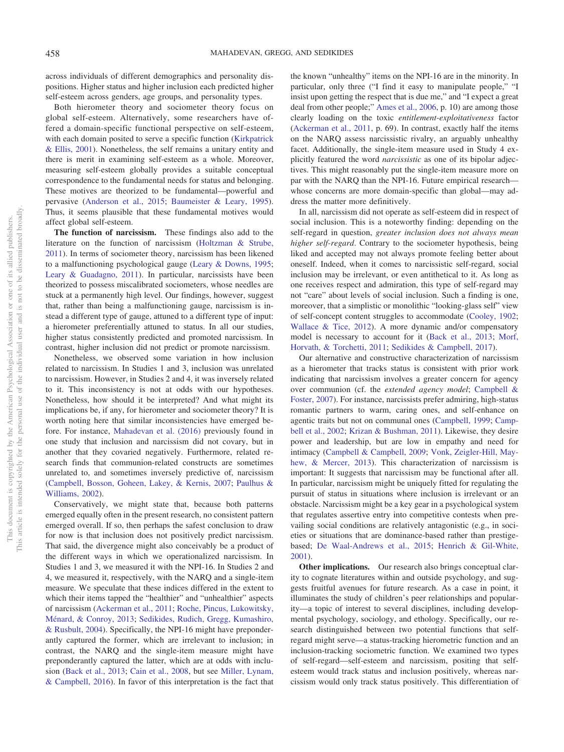across individuals of different demographics and personality dispositions. Higher status and higher inclusion each predicted higher self-esteem across genders, age groups, and personality types.

Both hierometer theory and sociometer theory focus on global self-esteem. Alternatively, some researchers have offered a domain-specific functional perspective on self-esteem, with each domain posited to serve a specific function (Kirkpatrick & Ellis, 2001). Nonetheless, the self remains a unitary entity and there is merit in examining self-esteem as a whole. Moreover, measuring self-esteem globally provides a suitable conceptual correspondence to the fundamental needs for status and belonging. These motives are theorized to be fundamental—powerful and pervasive (Anderson et al., 2015; Baumeister & Leary, 1995). Thus, it seems plausible that these fundamental motives would affect global self-esteem.

**The function of narcissism.** These findings also add to the literature on the function of narcissism (Holtzman & Strube, 2011). In terms of sociometer theory, narcissism has been likened to a malfunctioning psychological gauge (Leary & Downs, 1995; Leary & Guadagno, 2011). In particular, narcissists have been theorized to possess miscalibrated sociometers, whose needles are stuck at a permanently high level. Our findings, however, suggest that, rather than being a malfunctioning gauge, narcissism is instead a different type of gauge, attuned to a different type of input: a hierometer preferentially attuned to status. In all our studies, higher status consistently predicted and promoted narcissism. In contrast, higher inclusion did not predict or promote narcissism.

Nonetheless, we observed some variation in how inclusion related to narcissism. In Studies 1 and 3, inclusion was unrelated to narcissism. However, in Studies 2 and 4, it was inversely related to it. This inconsistency is not at odds with our hypotheses. Nonetheless, how should it be interpreted? And what might its implications be, if any, for hierometer and sociometer theory? It is worth noting here that similar inconsistencies have emerged before. For instance, Mahadevan et al. (2016) previously found in one study that inclusion and narcissism did not covary, but in another that they covaried negatively. Furthermore, related research finds that communion-related constructs are sometimes unrelated to, and sometimes inversely predictive of, narcissism (Campbell, Bosson, Goheen, Lakey, & Kernis, 2007; Paulhus & Williams, 2002).

Conservatively, we might state that, because both patterns emerged equally often in the present research, no consistent pattern emerged overall. If so, then perhaps the safest conclusion to draw for now is that inclusion does not positively predict narcissism. That said, the divergence might also conceivably be a product of the different ways in which we operationalized narcissism. In Studies 1 and 3, we measured it with the NPI-16. In Studies 2 and 4, we measured it, respectively, with the NARQ and a single-item measure. We speculate that these indices differed in the extent to which their items tapped the "healthier" and "unhealthier" aspects of narcissism (Ackerman et al., 2011; Roche, Pincus, Lukowitsky, Ménard, & Conroy, 2013; Sedikides, Rudich, Gregg, Kumashiro, & Rusbult, 2004). Specifically, the NPI-16 might have preponderantly captured the former, which are irrelevant to inclusion; in contrast, the NARQ and the single-item measure might have preponderantly captured the latter, which are at odds with inclusion (Back et al., 2013; Cain et al., 2008, but see Miller, Lynam, & Campbell, 2016). In favor of this interpretation is the fact that the known "unhealthy" items on the NPI-16 are in the minority. In particular, only three ("I find it easy to manipulate people," "I insist upon getting the respect that is due me," and "I expect a great deal from other people;" Ames et al., 2006, p. 10) are among those clearly loading on the toxic *entitlement-exploitativeness* factor (Ackerman et al., 2011, p. 69). In contrast, exactly half the items on the NARQ assess narcissistic rivalry, an arguably unhealthy facet. Additionally, the single-item measure used in Study 4 explicitly featured the word *narcissistic* as one of its bipolar adjectives. This might reasonably put the single-item measure more on par with the NARQ than the NPI-16. Future empirical research whose concerns are more domain-specific than global—may address the matter more definitively.

In all, narcissism did not operate as self-esteem did in respect of social inclusion. This is a noteworthy finding: depending on the self-regard in question, *greater inclusion does not always mean higher self-regard*. Contrary to the sociometer hypothesis, being liked and accepted may not always promote feeling better about oneself. Indeed, when it comes to narcissistic self-regard, social inclusion may be irrelevant, or even antithetical to it. As long as one receives respect and admiration, this type of self-regard may not "care" about levels of social inclusion. Such a finding is one, moreover, that a simplistic or monolithic "looking-glass self" view of self-concept content struggles to accommodate (Cooley, 1902; Wallace & Tice, 2012). A more dynamic and/or compensatory model is necessary to account for it (Back et al., 2013; Morf, Horvath, & Torchetti, 2011; Sedikides & Campbell, 2017).

Our alternative and constructive characterization of narcissism as a hierometer that tracks status is consistent with prior work indicating that narcissism involves a greater concern for agency over communion (cf. the *extended agency model*; Campbell & Foster, 2007). For instance, narcissists prefer admiring, high-status romantic partners to warm, caring ones, and self-enhance on agentic traits but not on communal ones (Campbell, 1999; Campbell et al., 2002; Krizan & Bushman, 2011). Likewise, they desire power and leadership, but are low in empathy and need for intimacy (Campbell & Campbell, 2009; Vonk, Zeigler-Hill, Mayhew, & Mercer, 2013). This characterization of narcissism is important: It suggests that narcissism may be functional after all. In particular, narcissism might be uniquely fitted for regulating the pursuit of status in situations where inclusion is irrelevant or an obstacle. Narcissism might be a key gear in a psychological system that regulates assertive entry into competitive contests when prevailing social conditions are relatively antagonistic (e.g., in societies or situations that are dominance-based rather than prestigebased; De Waal-Andrews et al., 2015; Henrich & Gil-White, 2001).

**Other implications.** Our research also brings conceptual clarity to cognate literatures within and outside psychology, and suggests fruitful avenues for future research. As a case in point, it illuminates the study of children's peer relationships and popularity—a topic of interest to several disciplines, including developmental psychology, sociology, and ethology. Specifically, our research distinguished between two potential functions that selfregard might serve—a status-tracking hierometric function and an inclusion-tracking sociometric function. We examined two types of self-regard—self-esteem and narcissism, positing that selfesteem would track status and inclusion positively, whereas narcissism would only track status positively. This differentiation of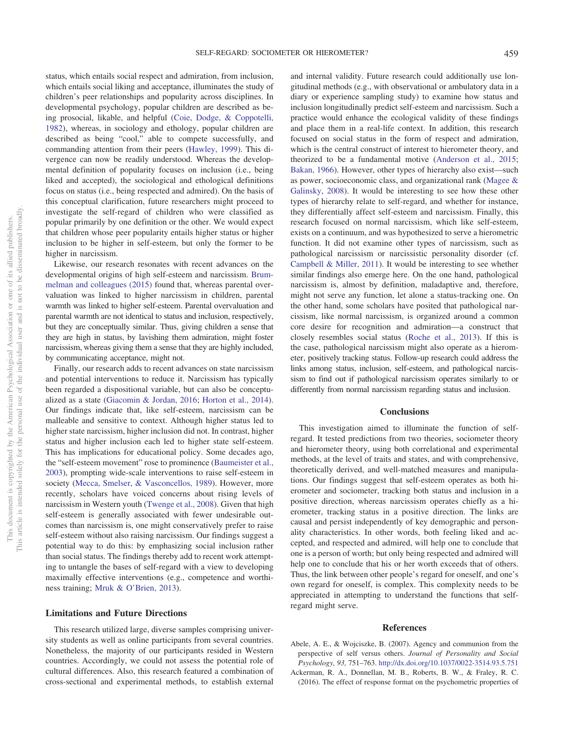status, which entails social respect and admiration, from inclusion, which entails social liking and acceptance, illuminates the study of children's peer relationships and popularity across disciplines. In developmental psychology, popular children are described as being prosocial, likable, and helpful (Coie, Dodge, & Coppotelli, 1982), whereas, in sociology and ethology, popular children are described as being "cool," able to compete successfully, and commanding attention from their peers (Hawley, 1999). This divergence can now be readily understood. Whereas the developmental definition of popularity focuses on inclusion (i.e., being liked and accepted), the sociological and ethological definitions focus on status (i.e., being respected and admired). On the basis of this conceptual clarification, future researchers might proceed to investigate the self-regard of children who were classified as popular primarily by one definition or the other. We would expect that children whose peer popularity entails higher status or higher inclusion to be higher in self-esteem, but only the former to be higher in narcissism.

Likewise, our research resonates with recent advances on the developmental origins of high self-esteem and narcissism. Brummelman and colleagues (2015) found that, whereas parental overvaluation was linked to higher narcissism in children, parental warmth was linked to higher self-esteem. Parental overvaluation and parental warmth are not identical to status and inclusion, respectively, but they are conceptually similar. Thus, giving children a sense that they are high in status, by lavishing them admiration, might foster narcissism, whereas giving them a sense that they are highly included, by communicating acceptance, might not.

Finally, our research adds to recent advances on state narcissism and potential interventions to reduce it. Narcissism has typically been regarded a dispositional variable, but can also be conceptualized as a state (Giacomin & Jordan, 2016; Horton et al., 2014). Our findings indicate that, like self-esteem, narcissism can be malleable and sensitive to context. Although higher status led to higher state narcissism, higher inclusion did not. In contrast, higher status and higher inclusion each led to higher state self-esteem. This has implications for educational policy. Some decades ago, the "self-esteem movement" rose to prominence (Baumeister et al., 2003), prompting wide-scale interventions to raise self-esteem in society (Mecca, Smelser, & Vasconcellos, 1989). However, more recently, scholars have voiced concerns about rising levels of narcissism in Western youth (Twenge et al., 2008). Given that high self-esteem is generally associated with fewer undesirable outcomes than narcissism is, one might conservatively prefer to raise self-esteem without also raising narcissism. Our findings suggest a potential way to do this: by emphasizing social inclusion rather than social status. The findings thereby add to recent work attempting to untangle the bases of self-regard with a view to developing maximally effective interventions (e.g., competence and worthiness training; Mruk & O'Brien, 2013).

#### **Limitations and Future Directions**

This research utilized large, diverse samples comprising university students as well as online participants from several countries. Nonetheless, the majority of our participants resided in Western countries. Accordingly, we could not assess the potential role of cultural differences. Also, this research featured a combination of cross-sectional and experimental methods, to establish external

and internal validity. Future research could additionally use longitudinal methods (e.g., with observational or ambulatory data in a diary or experience sampling study) to examine how status and inclusion longitudinally predict self-esteem and narcissism. Such a practice would enhance the ecological validity of these findings and place them in a real-life context. In addition, this research focused on social status in the form of respect and admiration, which is the central construct of interest to hierometer theory, and theorized to be a fundamental motive (Anderson et al., 2015; Bakan, 1966). However, other types of hierarchy also exist—such as power, socioeconomic class, and organizational rank (Magee & Galinsky, 2008). It would be interesting to see how these other types of hierarchy relate to self-regard, and whether for instance, they differentially affect self-esteem and narcissism. Finally, this research focused on normal narcissism, which like self-esteem, exists on a continuum, and was hypothesized to serve a hierometric function. It did not examine other types of narcissism, such as pathological narcissism or narcissistic personality disorder (cf. Campbell & Miller, 2011). It would be interesting to see whether similar findings also emerge here. On the one hand, pathological narcissism is, almost by definition, maladaptive and, therefore, might not serve any function, let alone a status-tracking one. On the other hand, some scholars have posited that pathological narcissism, like normal narcissism, is organized around a common core desire for recognition and admiration—a construct that closely resembles social status (Roche et al., 2013). If this is the case, pathological narcissism might also operate as a hierometer, positively tracking status. Follow-up research could address the links among status, inclusion, self-esteem, and pathological narcissism to find out if pathological narcissism operates similarly to or differently from normal narcissism regarding status and inclusion.

# **Conclusions**

This investigation aimed to illuminate the function of selfregard. It tested predictions from two theories, sociometer theory and hierometer theory, using both correlational and experimental methods, at the level of traits and states, and with comprehensive, theoretically derived, and well-matched measures and manipulations. Our findings suggest that self-esteem operates as both hierometer and sociometer, tracking both status and inclusion in a positive direction, whereas narcissism operates chiefly as a hierometer, tracking status in a positive direction. The links are causal and persist independently of key demographic and personality characteristics. In other words, both feeling liked and accepted, and respected and admired, will help one to conclude that one is a person of worth; but only being respected and admired will help one to conclude that his or her worth exceeds that of others. Thus, the link between other people's regard for oneself, and one's own regard for oneself, is complex. This complexity needs to be appreciated in attempting to understand the functions that selfregard might serve.

# **References**

- Abele, A. E., & Wojciszke, B. (2007). Agency and communion from the perspective of self versus others. *Journal of Personality and Social Psychology, 93,* 751–763. http://dx.doi.org/10.1037/0022-3514.93.5.751
- Ackerman, R. A., Donnellan, M. B., Roberts, B. W., & Fraley, R. C. (2016). The effect of response format on the psychometric properties of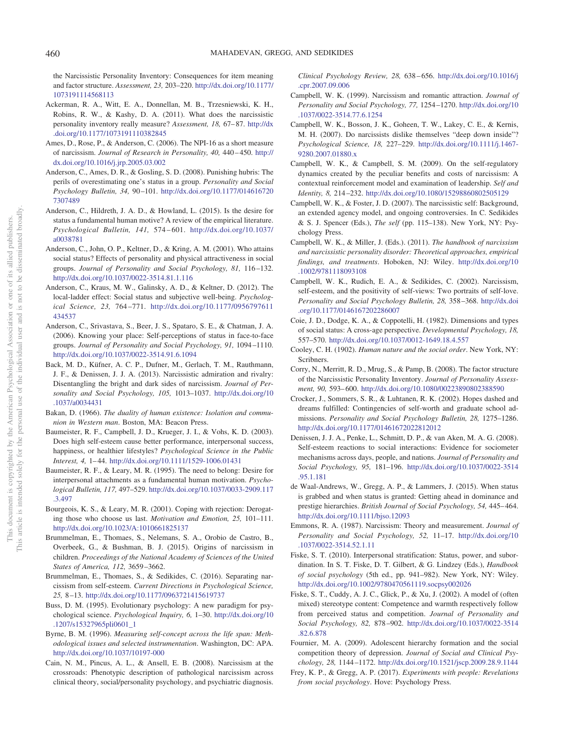the Narcissistic Personality Inventory: Consequences for item meaning and factor structure. *Assessment, 23,* 203–220. http://dx.doi.org/10.1177/ 1073191114568113

- Ackerman, R. A., Witt, E. A., Donnellan, M. B., Trzesniewski, K. H., Robins, R. W., & Kashy, D. A. (2011). What does the narcissistic personality inventory really measure? *Assessment, 18,* 67–87. http://dx .doi.org/10.1177/1073191110382845
- Ames, D., Rose, P., & Anderson, C. (2006). The NPI-16 as a short measure of narcissism. *Journal of Research in Personality, 40,* 440–450. http:// dx.doi.org/10.1016/j.jrp.2005.03.002
- Anderson, C., Ames, D. R., & Gosling, S. D. (2008). Punishing hubris: The perils of overestimating one's status in a group. *Personality and Social Psychology Bulletin, 34,* 90–101. http://dx.doi.org/10.1177/014616720 7307489
- Anderson, C., Hildreth, J. A. D., & Howland, L. (2015). Is the desire for status a fundamental human motive? A review of the empirical literature. *Psychological Bulletin, 141,* 574–601. http://dx.doi.org/10.1037/ a0038781
- Anderson, C., John, O. P., Keltner, D., & Kring, A. M. (2001). Who attains social status? Effects of personality and physical attractiveness in social groups. *Journal of Personality and Social Psychology, 81,* 116–132. http://dx.doi.org/10.1037/0022-3514.81.1.116
- Anderson, C., Kraus, M. W., Galinsky, A. D., & Keltner, D. (2012). The local-ladder effect: Social status and subjective well-being. *Psychological Science, 23,* 764–771. http://dx.doi.org/10.1177/0956797611 434537
- Anderson, C., Srivastava, S., Beer, J. S., Spataro, S. E., & Chatman, J. A. (2006). Knowing your place: Self-perceptions of status in face-to-face groups. *Journal of Personality and Social Psychology, 91,* 1094–1110. http://dx.doi.org/10.1037/0022-3514.91.6.1094
- Back, M. D., Küfner, A. C. P., Dufner, M., Gerlach, T. M., Rauthmann, J. F., & Denissen, J. J. A. (2013). Narcissistic admiration and rivalry: Disentangling the bright and dark sides of narcissism. *Journal of Personality and Social Psychology, 105,* 1013–1037. http://dx.doi.org/10 .1037/a0034431
- Bakan, D. (1966). *The duality of human existence: Isolation and communion in Western man*. Boston, MA: Beacon Press.
- Baumeister, R. F., Campbell, J. D., Krueger, J. I., & Vohs, K. D. (2003). Does high self-esteem cause better performance, interpersonal success, happiness, or healthier lifestyles? *Psychological Science in the Public Interest, 4,* 1–44. http://dx.doi.org/10.1111/1529-1006.01431
- Baumeister, R. F., & Leary, M. R. (1995). The need to belong: Desire for interpersonal attachments as a fundamental human motivation. *Psychological Bulletin, 117,* 497–529. http://dx.doi.org/10.1037/0033-2909.117 .3.497
- Bourgeois, K. S., & Leary, M. R. (2001). Coping with rejection: Derogating those who choose us last. *Motivation and Emotion, 25,* 101–111. http://dx.doi.org/10.1023/A:1010661825137
- Brummelman, E., Thomaes, S., Nelemans, S. A., Orobio de Castro, B., Overbeek, G., & Bushman, B. J. (2015). Origins of narcissism in children. *Proceedings of the National Academy of Sciences of the United States of America, 112,* 3659–3662.
- Brummelman, E., Thomaes, S., & Sedikides, C. (2016). Separating narcissism from self-esteem. *Current Directions in Psychological Science, 25,* 8–13. http://dx.doi.org/10.1177/0963721415619737
- Buss, D. M. (1995). Evolutionary psychology: A new paradigm for psychological science. *Psychological Inquiry, 6,* 1–30. http://dx.doi.org/10 .1207/s15327965pli0601\_1
- Byrne, B. M. (1996). *Measuring self-concept across the life span: Methodological issues and selected instrumentation*. Washington, DC: APA. http://dx.doi.org/10.1037/10197-000
- Cain, N. M., Pincus, A. L., & Ansell, E. B. (2008). Narcissism at the crossroads: Phenotypic description of pathological narcissism across clinical theory, social/personality psychology, and psychiatric diagnosis.

*Clinical Psychology Review, 28,* 638–656. http://dx.doi.org/10.1016/j .cpr.2007.09.006

- Campbell, W. K. (1999). Narcissism and romantic attraction. *Journal of Personality and Social Psychology, 77,* 1254–1270. http://dx.doi.org/10 .1037/0022-3514.77.6.1254
- Campbell, W. K., Bosson, J. K., Goheen, T. W., Lakey, C. E., & Kernis, M. H. (2007). Do narcissists dislike themselves "deep down inside"? *Psychological Science, 18,* 227–229. http://dx.doi.org/10.1111/j.1467- 9280.2007.01880.x
- Campbell, W. K., & Campbell, S. M. (2009). On the self-regulatory dynamics created by the peculiar benefits and costs of narcissism: A contextual reinforcement model and examination of leadership. *Self and Identity, 8,* 214–232. http://dx.doi.org/10.1080/15298860802505129
- Campbell, W. K., & Foster, J. D. (2007). The narcissistic self: Background, an extended agency model, and ongoing controversies. In C. Sedikides & S. J. Spencer (Eds.), *The self* (pp. 115–138). New York, NY: Psychology Press.
- Campbell, W. K., & Miller, J. (Eds.). (2011). *The handbook of narcissism and narcissistic personality disorder: Theoretical approaches, empirical findings, and treatments*. Hoboken, NJ: Wiley. http://dx.doi.org/10 .1002/9781118093108
- Campbell, W. K., Rudich, E. A., & Sedikides, C. (2002). Narcissism, self-esteem, and the positivity of self-views: Two portraits of self-love. *Personality and Social Psychology Bulletin, 28,* 358–368. http://dx.doi .org/10.1177/0146167202286007
- Coie, J. D., Dodge, K. A., & Coppotelli, H. (1982). Dimensions and types of social status: A cross-age perspective. *Developmental Psychology, 18,* 557–570. http://dx.doi.org/10.1037/0012-1649.18.4.557
- Cooley, C. H. (1902). *Human nature and the social order*. New York, NY: Scribners.
- Corry, N., Merritt, R. D., Mrug, S., & Pamp, B. (2008). The factor structure of the Narcissistic Personality Inventory. *Journal of Personality Assessment, 90,* 593–600. http://dx.doi.org/10.1080/00223890802388590
- Crocker, J., Sommers, S. R., & Luhtanen, R. K. (2002). Hopes dashed and dreams fulfilled: Contingencies of self-worth and graduate school admissions. *Personality and Social Psychology Bulletin, 28,* 1275–1286. http://dx.doi.org/10.1177/01461672022812012
- Denissen, J. J. A., Penke, L., Schmitt, D. P., & van Aken, M. A. G. (2008). Self-esteem reactions to social interactions: Evidence for sociometer mechanisms across days, people, and nations. *Journal of Personality and Social Psychology, 95,* 181–196. http://dx.doi.org/10.1037/0022-3514 .95.1.181
- de Waal-Andrews, W., Gregg, A. P., & Lammers, J. (2015). When status is grabbed and when status is granted: Getting ahead in dominance and prestige hierarchies. *British Journal of Social Psychology, 54,* 445–464. http://dx.doi.org/10.1111/bjso.12093
- Emmons, R. A. (1987). Narcissism: Theory and measurement. *Journal of Personality and Social Psychology, 52,* 11–17. http://dx.doi.org/10 .1037/0022-3514.52.1.11
- Fiske, S. T. (2010). Interpersonal stratification: Status, power, and subordination. In S. T. Fiske, D. T. Gilbert, & G. Lindzey (Eds.), *Handbook of social psychology* (5th ed., pp. 941–982). New York, NY: Wiley. http://dx.doi.org/10.1002/9780470561119.socpsy002026
- Fiske, S. T., Cuddy, A. J. C., Glick, P., & Xu, J. (2002). A model of (often mixed) stereotype content: Competence and warmth respectively follow from perceived status and competition. *Journal of Personality and Social Psychology, 82,* 878–902. http://dx.doi.org/10.1037/0022-3514 .82.6.878
- Fournier, M. A. (2009). Adolescent hierarchy formation and the social competition theory of depression. *Journal of Social and Clinical Psychology, 28,* 1144–1172. http://dx.doi.org/10.1521/jscp.2009.28.9.1144
- Frey, K. P., & Gregg, A. P. (2017). *Experiments with people: Revelations from social psychology*. Hove: Psychology Press.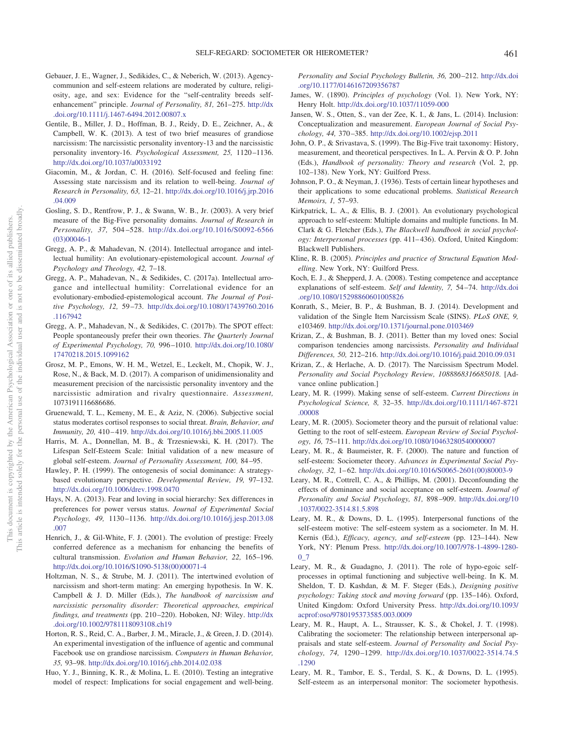- Gebauer, J. E., Wagner, J., Sedikides, C., & Neberich, W. (2013). Agencycommunion and self-esteem relations are moderated by culture, religiosity, age, and sex: Evidence for the "self-centrality breeds selfenhancement" principle. *Journal of Personality, 81,* 261–275. http://dx .doi.org/10.1111/j.1467-6494.2012.00807.x
- Gentile, B., Miller, J. D., Hoffman, B. J., Reidy, D. E., Zeichner, A., & Campbell, W. K. (2013). A test of two brief measures of grandiose narcissism: The narcissistic personality inventory-13 and the narcissistic personality inventory-16. *Psychological Assessment, 25,* 1120–1136. http://dx.doi.org/10.1037/a0033192
- Giacomin, M., & Jordan, C. H. (2016). Self-focused and feeling fine: Assessing state narcissism and its relation to well-being. *Journal of Research in Personality, 63,* 12–21. http://dx.doi.org/10.1016/j.jrp.2016 .04.009
- Gosling, S. D., Rentfrow, P. J., & Swann, W. B., Jr. (2003). A very brief measure of the Big-Five personality domains. *Journal of Research in Personality, 37,* 504–528. http://dx.doi.org/10.1016/S0092-6566 (03)00046-1
- Gregg, A. P., & Mahadevan, N. (2014). Intellectual arrogance and intellectual humility: An evolutionary-epistemological account. *Journal of Psychology and Theology, 42,* 7–18.
- Gregg, A. P., Mahadevan, N., & Sedikides, C. (2017a). Intellectual arrogance and intellectual humility: Correlational evidence for an evolutionary-embodied-epistemological account. *The Journal of Positive Psychology, 12,* 59–73. http://dx.doi.org/10.1080/17439760.2016 .1167942
- Gregg, A. P., Mahadevan, N., & Sedikides, C. (2017b). The SPOT effect: People spontaneously prefer their own theories. *The Quarterly Journal of Experimental Psychology, 70,* 996–1010. http://dx.doi.org/10.1080/ 17470218.2015.1099162
- Grosz, M. P., Emons, W. H. M., Wetzel, E., Leckelt, M., Chopik, W. J., Rose, N., & Back, M. D. (2017). A comparison of unidimensionality and measurement precision of the narcissistic personality inventory and the narcissistic admiration and rivalry questionnaire. *Assessment,* 1073191116686686.
- Gruenewald, T. L., Kemeny, M. E., & Aziz, N. (2006). Subjective social status moderates cortisol responses to social threat. *Brain, Behavior, and Immunity, 20,* 410–419. http://dx.doi.org/10.1016/j.bbi.2005.11.005
- Harris, M. A., Donnellan, M. B., & Trzesniewski, K. H. (2017). The Lifespan Self-Esteem Scale: Initial validation of a new measure of global self-esteem. *Journal of Personality Assessment, 100,* 84–95.
- Hawley, P. H. (1999). The ontogenesis of social dominance: A strategybased evolutionary perspective. *Developmental Review, 19,* 97–132. http://dx.doi.org/10.1006/drev.1998.0470
- Hays, N. A. (2013). Fear and loving in social hierarchy: Sex differences in preferences for power versus status. *Journal of Experimental Social Psychology, 49,* 1130–1136. http://dx.doi.org/10.1016/j.jesp.2013.08 .007
- Henrich, J., & Gil-White, F. J. (2001). The evolution of prestige: Freely conferred deference as a mechanism for enhancing the benefits of cultural transmission. *Evolution and Human Behavior, 22,* 165–196. http://dx.doi.org/10.1016/S1090-5138(00)00071-4
- Holtzman, N. S., & Strube, M. J. (2011). The intertwined evolution of narcissism and short-term mating: An emerging hypothesis. In W. K. Campbell & J. D. Miller (Eds.), *The handbook of narcissism and narcissistic personality disorder: Theoretical approaches, empirical findings, and treatments* (pp. 210–220). Hoboken, NJ: Wiley. http://dx .doi.org/10.1002/9781118093108.ch19
- Horton, R. S., Reid, C. A., Barber, J. M., Miracle, J., & Green, J. D. (2014). An experimental investigation of the influence of agentic and communal Facebook use on grandiose narcissism. *Computers in Human Behavior, 35,* 93–98. http://dx.doi.org/10.1016/j.chb.2014.02.038
- Huo, Y. J., Binning, K. R., & Molina, L. E. (2010). Testing an integrative model of respect: Implications for social engagement and well-being.

*Personality and Social Psychology Bulletin, 36,* 200–212. http://dx.doi .org/10.1177/0146167209356787

- James, W. (1890). *Principles of psychology* (Vol. 1). New York, NY: Henry Holt. http://dx.doi.org/10.1037/11059-000
- Jansen, W. S., Otten, S., van der Zee, K. I., & Jans, L. (2014). Inclusion: Conceptualization and measurement. *European Journal of Social Psychology, 44,* 370–385. http://dx.doi.org/10.1002/ejsp.2011
- John, O. P., & Srivastava, S. (1999). The Big-Five trait taxonomy: History, measurement, and theoretical perspectives. In L. A. Pervin & O. P. John (Eds.), *Handbook of personality: Theory and research* (Vol. 2, pp. 102–138). New York, NY: Guilford Press.
- Johnson, P. O., & Neyman, J. (1936). Tests of certain linear hypotheses and their applications to some educational problems. *Statistical Research Memoirs, 1,* 57–93.
- Kirkpatrick, L. A., & Ellis, B. J. (2001). An evolutionary psychological approach to self-esteem: Multiple domains and multiple functions. In M. Clark & G. Fletcher (Eds.), *The Blackwell handbook in social psychology: Interpersonal processes* (pp. 411–436). Oxford, United Kingdom: Blackwell Publishers.
- Kline, R. B. (2005). *Principles and practice of Structural Equation Modelling*. New York, NY: Guilford Press.
- Koch, E. J., & Shepperd, J. A. (2008). Testing competence and acceptance explanations of self-esteem. *Self and Identity, 7,* 54–74. http://dx.doi .org/10.1080/15298860601005826
- Konrath, S., Meier, B. P., & Bushman, B. J. (2014). Development and validation of the Single Item Narcissism Scale (SINS). *PLoS ONE, 9,* e103469. http://dx.doi.org/10.1371/journal.pone.0103469
- Krizan, Z., & Bushman, B. J. (2011). Better than my loved ones: Social comparison tendencies among narcissists. *Personality and Individual Differences, 50,* 212–216. http://dx.doi.org/10.1016/j.paid.2010.09.031
- Krizan, Z., & Herlache, A. D. (2017). The Narcissism Spectrum Model. *Personality and Social Psychology Review, 1088868316685018*. [Advance online publication.]
- Leary, M. R. (1999). Making sense of self-esteem. *Current Directions in Psychological Science, 8,* 32–35. http://dx.doi.org/10.1111/1467-8721 .00008
- Leary, M. R. (2005). Sociometer theory and the pursuit of relational value: Getting to the root of self-esteem. *European Review of Social Psychology, 16,* 75–111. http://dx.doi.org/10.1080/10463280540000007
- Leary, M. R., & Baumeister, R. F. (2000). The nature and function of self-esteem: Sociometer theory. *Advances in Experimental Social Psychology, 32,* 1–62. http://dx.doi.org/10.1016/S0065-2601(00)80003-9
- Leary, M. R., Cottrell, C. A., & Phillips, M. (2001). Deconfounding the effects of dominance and social acceptance on self-esteem. *Journal of Personality and Social Psychology, 81,* 898–909. http://dx.doi.org/10 .1037/0022-3514.81.5.898
- Leary, M. R., & Downs, D. L. (1995). Interpersonal functions of the self-esteem motive: The self-esteem system as a sociometer. In M. H. Kernis (Ed.), *Efficacy, agency, and self-esteem* (pp. 123–144). New York, NY: Plenum Press. http://dx.doi.org/10.1007/978-1-4899-1280- 0\_7
- Leary, M. R., & Guadagno, J. (2011). The role of hypo-egoic selfprocesses in optimal functioning and subjective well-being. In K. M. Sheldon, T. D. Kashdan, & M. F. Steger (Eds.), *Designing positive psychology: Taking stock and moving forward* (pp. 135–146). Oxford, United Kingdom: Oxford University Press. http://dx.doi.org/10.1093/ acprof:oso/9780195373585.003.0009
- Leary, M. R., Haupt, A. L., Strausser, K. S., & Chokel, J. T. (1998). Calibrating the sociometer: The relationship between interpersonal appraisals and state self-esteem. *Journal of Personality and Social Psychology, 74,* 1290–1299. http://dx.doi.org/10.1037/0022-3514.74.5 .1290
- Leary, M. R., Tambor, E. S., Terdal, S. K., & Downs, D. L. (1995). Self-esteem as an interpersonal monitor: The sociometer hypothesis.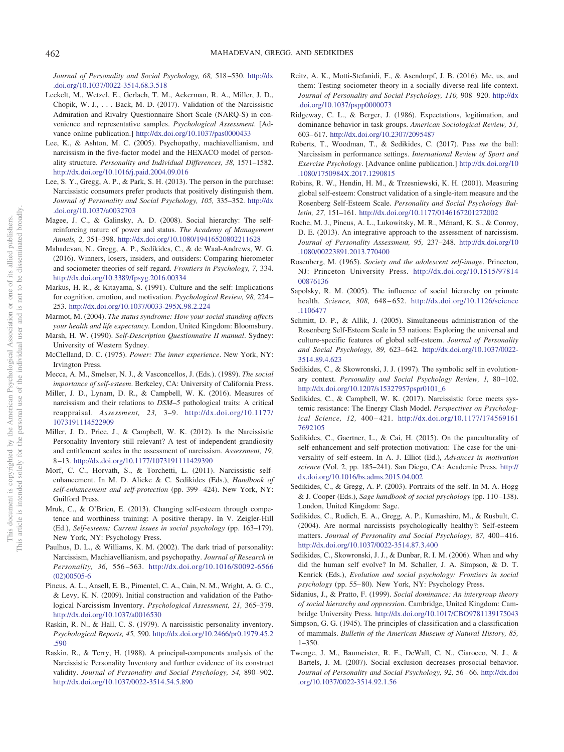*Journal of Personality and Social Psychology, 68,* 518–530. http://dx .doi.org/10.1037/0022-3514.68.3.518

- Leckelt, M., Wetzel, E., Gerlach, T. M., Ackerman, R. A., Miller, J. D., Chopik, W. J.,... Back, M. D. (2017). Validation of the Narcissistic Admiration and Rivalry Questionnaire Short Scale (NARQ-S) in convenience and representative samples. *Psychological Assessment*. [Advance online publication.] http://dx.doi.org/10.1037/pas0000433
- Lee, K., & Ashton, M. C. (2005). Psychopathy, machiavellianism, and narcissism in the five-factor model and the HEXACO model of personality structure. *Personality and Individual Differences, 38,* 1571–1582. http://dx.doi.org/10.1016/j.paid.2004.09.016
- Lee, S. Y., Gregg, A. P., & Park, S. H. (2013). The person in the purchase: Narcissistic consumers prefer products that positively distinguish them. *Journal of Personality and Social Psychology, 105,* 335–352. http://dx .doi.org/10.1037/a0032703
- Magee, J. C., & Galinsky, A. D. (2008). Social hierarchy: The selfreinforcing nature of power and status. *The Academy of Management Annals, 2,* 351–398. http://dx.doi.org/10.1080/19416520802211628
- Mahadevan, N., Gregg, A. P., Sedikides, C., & de Waal-Andrews, W. G. (2016). Winners, losers, insiders, and outsiders: Comparing hierometer and sociometer theories of self-regard. *Frontiers in Psychology, 7,* 334. http://dx.doi.org/10.3389/fpsyg.2016.00334
- Markus, H. R., & Kitayama, S. (1991). Culture and the self: Implications for cognition, emotion, and motivation. *Psychological Review, 98,* 224– 253. http://dx.doi.org/10.1037/0033-295X.98.2.224
- Marmot, M. (2004). *The status syndrome: How your social standing affects your health and life expectancy*. London, United Kingdom: Bloomsbury.
- Marsh, H. W. (1990). *Self-Description Questionnaire II manual*. Sydney: University of Western Sydney.
- McClelland, D. C. (1975). *Power: The inner experience*. New York, NY: Irvington Press.
- Mecca, A. M., Smelser, N. J., & Vasconcellos, J. (Eds.). (1989). *The social importance of self-esteem*. Berkeley, CA: University of California Press.
- Miller, J. D., Lynam, D. R., & Campbell, W. K. (2016). Measures of narcissism and their relations to *DSM–5* pathological traits: A critical reappraisal. *Assessment, 23,* 3–9. http://dx.doi.org/10.1177/ 1073191114522909
- Miller, J. D., Price, J., & Campbell, W. K. (2012). Is the Narcissistic Personality Inventory still relevant? A test of independent grandiosity and entitlement scales in the assessment of narcissism. *Assessment, 19,* 8–13. http://dx.doi.org/10.1177/1073191111429390
- Morf, C. C., Horvath, S., & Torchetti, L. (2011). Narcissistic selfenhancement. In M. D. Alicke & C. Sedikides (Eds.), *Handbook of self-enhancement and self-protection* (pp. 399–424). New York, NY: Guilford Press.
- Mruk, C., & O'Brien, E. (2013). Changing self-esteem through competence and worthiness training: A positive therapy. In V. Zeigler-Hill (Ed.), *Self-esteem: Current issues in social psychology* (pp. 163–179). New York, NY: Psychology Press.
- Paulhus, D. L., & Williams, K. M. (2002). The dark triad of personality: Narcissism, Machiavellianism, and psychopathy. *Journal of Research in Personality, 36,* 556–563. http://dx.doi.org/10.1016/S0092-6566 (02)00505-6
- Pincus, A. L., Ansell, E. B., Pimentel, C. A., Cain, N. M., Wright, A. G. C., & Levy, K. N. (2009). Initial construction and validation of the Pathological Narcissism Inventory. *Psychological Assessment, 21,* 365–379. http://dx.doi.org/10.1037/a0016530
- Raskin, R. N., & Hall, C. S. (1979). A narcissistic personality inventory. *Psychological Reports, 45,* 590. http://dx.doi.org/10.2466/pr0.1979.45.2 .590
- Raskin, R., & Terry, H. (1988). A principal-components analysis of the Narcissistic Personality Inventory and further evidence of its construct validity. *Journal of Personality and Social Psychology, 54,* 890–902. http://dx.doi.org/10.1037/0022-3514.54.5.890
- Reitz, A. K., Motti-Stefanidi, F., & Asendorpf, J. B. (2016). Me, us, and them: Testing sociometer theory in a socially diverse real-life context. *Journal of Personality and Social Psychology, 110,* 908–920. http://dx .doi.org/10.1037/pspp0000073
- Ridgeway, C. L., & Berger, J. (1986). Expectations, legitimation, and dominance behavior in task groups. *American Sociological Review, 51,* 603–617. http://dx.doi.org/10.2307/2095487
- Roberts, T., Woodman, T., & Sedikides, C. (2017). Pass *me* the ball: Narcissism in performance settings. *International Review of Sport and Exercise Psychology*. [Advance online publication.] http://dx.doi.org/10 .1080/1750984X.2017.1290815
- Robins, R. W., Hendin, H. M., & Trzesniewski, K. H. (2001). Measuring global self-esteem: Construct validation of a single-item measure and the Rosenberg Self-Esteem Scale. *Personality and Social Psychology Bulletin, 27,* 151–161. http://dx.doi.org/10.1177/0146167201272002
- Roche, M. J., Pincus, A. L., Lukowitsky, M. R., Ménard, K. S., & Conroy, D. E. (2013). An integrative approach to the assessment of narcissism. *Journal of Personality Assessment, 95,* 237–248. http://dx.doi.org/10 .1080/00223891.2013.770400
- Rosenberg, M. (1965). *Society and the adolescent self-image*. Princeton, NJ: Princeton University Press. http://dx.doi.org/10.1515/97814 00876136
- Sapolsky, R. M. (2005). The influence of social hierarchy on primate health. *Science, 308,* 648–652. http://dx.doi.org/10.1126/science .1106477
- Schmitt, D. P., & Allik, J. (2005). Simultaneous administration of the Rosenberg Self-Esteem Scale in 53 nations: Exploring the universal and culture-specific features of global self-esteem. *Journal of Personality and Social Psychology, 89,* 623–642. http://dx.doi.org/10.1037/0022- 3514.89.4.623
- Sedikides, C., & Skowronski, J. J. (1997). The symbolic self in evolutionary context. *Personality and Social Psychology Review, 1,* 80–102. http://dx.doi.org/10.1207/s15327957pspr0101\_6
- Sedikides, C., & Campbell, W. K. (2017). Narcissistic force meets systemic resistance: The Energy Clash Model. *Perspectives on Psychological Science, 12,* 400–421. http://dx.doi.org/10.1177/174569161 7692105
- Sedikides, C., Gaertner, L., & Cai, H. (2015). On the panculturality of self-enhancement and self-protection motivation: The case for the universality of self-esteem. In A. J. Elliot (Ed.), *Advances in motivation science* (Vol. 2, pp. 185–241). San Diego, CA: Academic Press. http:// dx.doi.org/10.1016/bs.adms.2015.04.002
- Sedikides, C., & Gregg, A. P. (2003). Portraits of the self. In M. A. Hogg & J. Cooper (Eds.), *Sage handbook of social psychology* (pp. 110–138). London, United Kingdom: Sage.
- Sedikides, C., Rudich, E. A., Gregg, A. P., Kumashiro, M., & Rusbult, C. (2004). Are normal narcissists psychologically healthy?: Self-esteem matters. *Journal of Personality and Social Psychology, 87,* 400–416. http://dx.doi.org/10.1037/0022-3514.87.3.400
- Sedikides, C., Skowronski, J. J., & Dunbar, R. I. M. (2006). When and why did the human self evolve? In M. Schaller, J. A. Simpson, & D. T. Kenrick (Eds.), *Evolution and social psychology: Frontiers in social psychology* (pp. 55–80). New York, NY: Psychology Press.
- Sidanius, J., & Pratto, F. (1999). *Social dominance: An intergroup theory of social hierarchy and oppression*. Cambridge, United Kingdom: Cambridge University Press. http://dx.doi.org/10.1017/CBO9781139175043
- Simpson, G. G. (1945). The principles of classification and a classification of mammals. *Bulletin of the American Museum of Natural History, 85,* 1–350.
- Twenge, J. M., Baumeister, R. F., DeWall, C. N., Ciarocco, N. J., & Bartels, J. M. (2007). Social exclusion decreases prosocial behavior. *Journal of Personality and Social Psychology, 92,* 56–66. http://dx.doi .org/10.1037/0022-3514.92.1.56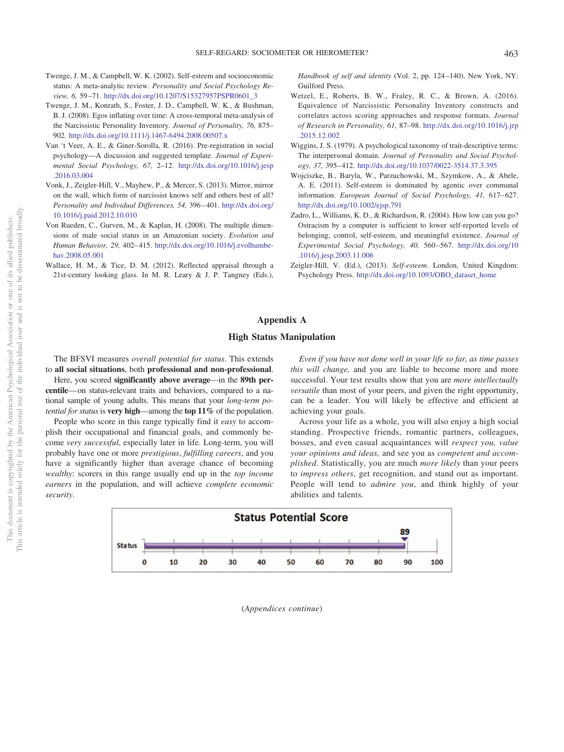- Twenge, J. M., & Campbell, W. K. (2002). Self-esteem and socioeconomic status: A meta-analytic review. *Personality and Social Psychology Review, 6,* 59–71. http://dx.doi.org/10.1207/S15327957PSPR0601\_3
- Twenge, J. M., Konrath, S., Foster, J. D., Campbell, W. K., & Bushman, B. J. (2008). Egos inflating over time: A cross-temporal meta-analysis of the Narcissistic Personality Inventory. *Journal of Personality, 76,* 875– 902. http://dx.doi.org/10.1111/j.1467-6494.2008.00507.x
- Van 't Veer, A. E., & Giner-Sorolla, R. (2016). Pre-registration in social psychology—A discussion and suggested template. *Journal of Experimental Social Psychology, 67,* 2–12. http://dx.doi.org/10.1016/j.jesp .2016.03.004
- Vonk, J., Zeigler-Hill, V., Mayhew, P., & Mercer, S. (2013). Mirror, mirror on the wall, which form of narcissist knows self and others best of all? *Personality and Individual Differences, 54,* 396–401. http://dx.doi.org/ 10.1016/j.paid.2012.10.010
- Von Rueden, C., Gurven, M., & Kaplan, H. (2008). The multiple dimensions of male social status in an Amazonian society. *Evolution and Human Behavior, 29,* 402–415. http://dx.doi.org/10.1016/j.evolhumbehav.2008.05.001
- Wallace, H. M., & Tice, D. M. (2012). Reflected appraisal through a 21st-century looking glass. In M. R. Leary & J. P. Tangney (Eds.),

*Handbook of self and identity* (Vol. 2, pp. 124–140). New York, NY: Guilford Press.

- Wetzel, E., Roberts, B. W., Fraley, R. C., & Brown, A. (2016). Equivalence of Narcissistic Personality Inventory constructs and correlates across scoring approaches and response formats. *Journal of Research in Personality, 61,* 87–98. http://dx.doi.org/10.1016/j.jrp .2015.12.002
- Wiggins, J. S. (1979). A psychological taxonomy of trait-descriptive terms: The interpersonal domain. *Journal of Personality and Social Psychology, 37,* 395–412. http://dx.doi.org/10.1037/0022-3514.37.3.395
- Wojciszke, B., Baryla, W., Parzuchowski, M., Szymkow, A., & Abele, A. E. (2011). Self-esteem is dominated by agentic over communal information. *European Journal of Social Psychology, 41,* 617–627. http://dx.doi.org/10.1002/ejsp.791
- Zadro, L., Williams, K. D., & Richardson, R. (2004). How low can you go? Ostracism by a computer is sufficient to lower self-reported levels of belonging, control, self-esteem, and meaningful existence. *Journal of Experimental Social Psychology, 40,* 560–567. http://dx.doi.org/10 .1016/j.jesp.2003.11.006
- Zeigler-Hill, V. (Ed.), (2013). *Self-esteem*. London, United Kingdom: Psychology Press. http://dx.doi.org/10.1093/OBO\_dataset\_home

### **Appendix A**

#### **High Status Manipulation**

The BFSVI measures *overall potential for status*. This extends to **all social situations**, both **professional and non-professional**.

Here, you scored **significantly above average**—in the **89th percentile**—on status-relevant traits and behaviors, compared to a national sample of young adults. This means that your *long-term potential for status*is **very high**—among the **top 11%** of the population.

People who score in this range typically find it *easy* to accomplish their occupational and financial goals, and commonly become *very successful*, especially later in life. Long-term, you will probably have one or more *prestigious*, *fulfilling careers*, and you have a significantly higher than average chance of becoming *wealthy*: scorers in this range usually end up in the *top income earners* in the population, and will achieve *complete economic security*.

*Even if you have not done well in your life so far, as time passes this will change,* and you are liable to become more and more successful. Your test results show that you are *more intellectually versatile* than most of your peers, and given the right opportunity, can be a leader. You will likely be effective and efficient at achieving your goals.

Across your life as a whole, you will also enjoy a high social standing. Prospective friends, romantic partners, colleagues, bosses, and even casual acquaintances will *respect you, value your opinions and ideas,* and see you as *competent and accomplished*. Statistically, you are much *more likely* than your peers to *impress others*, get recognition, and stand out as important. People will tend to *admire you*, and think highly of your abilities and talents.



(*Appendices continue*)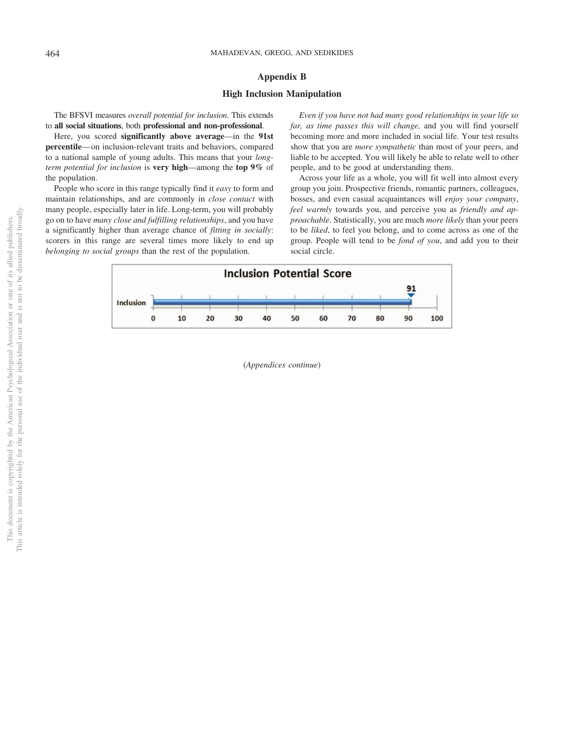# **Appendix B**

# **High Inclusion Manipulation**

The BFSVI measures *overall potential for inclusion*. This extends to **all social situations**, both **professional and non-professional**.

Here, you scored **significantly above average**—in the **91st percentile**—on inclusion-relevant traits and behaviors, compared to a national sample of young adults. This means that your *longterm potential for inclusion* is **very high**—among the **top 9%** of the population.

People who score in this range typically find it *easy* to form and maintain relationships, and are commonly in *close contact* with many people, especially later in life. Long-term, you will probably go on to have *many close and fulfilling relationships*, and you have a significantly higher than average chance of *fitting in socially*: scorers in this range are several times more likely to end up *belonging to social groups* than the rest of the population.

*Even if you have not had many good relationships in your life so far, as time passes this will change,* and you will find yourself becoming more and more included in social life. Your test results show that you are *more sympathetic* than most of your peers, and liable to be accepted. You will likely be able to relate well to other people, and to be good at understanding them.

Across your life as a whole, you will fit well into almost every group you join. Prospective friends, romantic partners, colleagues, bosses, and even casual acquaintances will *enjoy your company*, *feel warmly* towards you, and perceive you as *friendly and approachable*. Statistically, you are much *more likely* than your peers to be *liked*, to feel you belong, and to come across as one of the group. People will tend to be *fond of you*, and add you to their social circle.



(*Appendices continue*)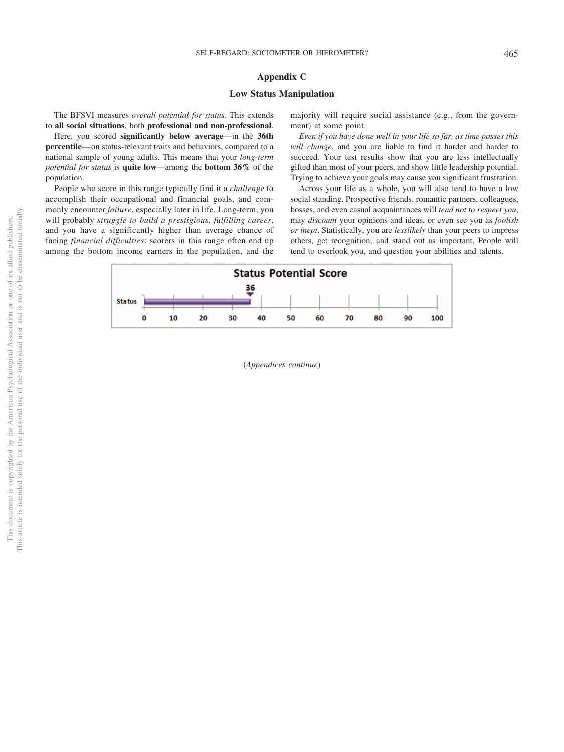# **Appendix C**

# **Low Status Manipulation**

The BFSVI measures *overall potential for status*. This extends to **all social situations**, both **professional and non-professional**.

Here, you scored **significantly below average**—in the **36th percentile**—on status-relevant traits and behaviors, compared to a national sample of young adults. This means that your *long-term potential for status* is **quite low**—among the **bottom 36%** of the population.

People who score in this range typically find it a *challenge* to accomplish their occupational and financial goals, and commonly encounter *failure*, especially later in life. Long-term, you will probably *struggle to build a prestigious, fulfilling career*, and you have a significantly higher than average chance of facing *financial difficulties*: scorers in this range often end up among the bottom income earners in the population, and the majority will require social assistance (e.g., from the government) at some point.

*Even if you have done well in your life so far, as time passes this will change*, and you are liable to find it harder and harder to succeed. Your test results show that you are less intellectually gifted than most of your peers, and show little leadership potential. Trying to achieve your goals may cause you significant frustration.

Across your life as a whole, you will also tend to have a low social standing. Prospective friends, romantic partners, colleagues, bosses, and even casual acquaintances will *tend not to respect you*, may *discount* your opinions and ideas, or even see you as *foolish or inept*. Statistically, you are *lesslikely* than your peers to impress others, get recognition, and stand out as important. People will tend to overlook you, and question your abilities and talents.



(*Appendices continue*)